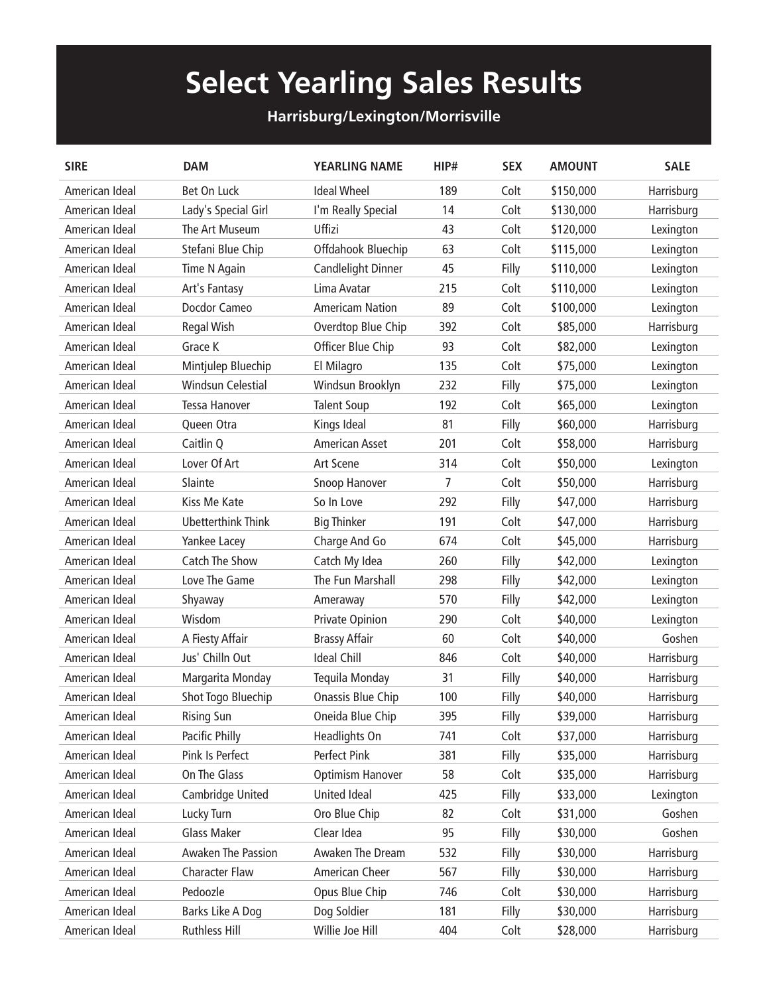## **Select Yearling Sales Results**

## **Harrisburg/Lexington/Morrisville**

| <b>SIRE</b>    | <b>DAM</b>            | <b>YEARLING NAME</b>   | HIP# | <b>SEX</b> | <b>AMOUNT</b> | <b>SALE</b> |
|----------------|-----------------------|------------------------|------|------------|---------------|-------------|
| American Ideal | Bet On Luck           | <b>Ideal Wheel</b>     | 189  | Colt       | \$150,000     | Harrisburg  |
| American Ideal | Lady's Special Girl   | I'm Really Special     | 14   | Colt       | \$130,000     | Harrisburg  |
| American Ideal | The Art Museum        | Uffizi                 | 43   | Colt       | \$120,000     | Lexington   |
| American Ideal | Stefani Blue Chip     | Offdahook Bluechip     | 63   | Colt       | \$115,000     | Lexington   |
| American Ideal | Time N Again          | Candlelight Dinner     | 45   | Filly      | \$110,000     | Lexington   |
| American Ideal | Art's Fantasy         | Lima Avatar            | 215  | Colt       | \$110,000     | Lexington   |
| American Ideal | Docdor Cameo          | <b>Americam Nation</b> | 89   | Colt       | \$100,000     | Lexington   |
| American Ideal | <b>Regal Wish</b>     | Overdtop Blue Chip     | 392  | Colt       | \$85,000      | Harrisburg  |
| American Ideal | Grace K               | Officer Blue Chip      | 93   | Colt       | \$82,000      | Lexington   |
| American Ideal | Mintjulep Bluechip    | El Milagro             | 135  | Colt       | \$75,000      | Lexington   |
| American Ideal | Windsun Celestial     | Windsun Brooklyn       | 232  | Filly      | \$75,000      | Lexington   |
| American Ideal | <b>Tessa Hanover</b>  | <b>Talent Soup</b>     | 192  | Colt       | \$65,000      | Lexington   |
| American Ideal | Queen Otra            | Kings Ideal            | 81   | Filly      | \$60,000      | Harrisburg  |
| American Ideal | Caitlin Q             | <b>American Asset</b>  | 201  | Colt       | \$58,000      | Harrisburg  |
| American Ideal | Lover Of Art          | <b>Art Scene</b>       | 314  | Colt       | \$50,000      | Lexington   |
| American Ideal | Slainte               | Snoop Hanover          | 7    | Colt       | \$50,000      | Harrisburg  |
| American Ideal | Kiss Me Kate          | So In Love             | 292  | Filly      | \$47,000      | Harrisburg  |
| American Ideal | Ubetterthink Think    | <b>Big Thinker</b>     | 191  | Colt       | \$47,000      | Harrisburg  |
| American Ideal | Yankee Lacey          | Charge And Go          | 674  | Colt       | \$45,000      | Harrisburg  |
| American Ideal | Catch The Show        | Catch My Idea          | 260  | Filly      | \$42,000      | Lexington   |
| American Ideal | Love The Game         | The Fun Marshall       | 298  | Filly      | \$42,000      | Lexington   |
| American Ideal | Shyaway               | Ameraway               | 570  | Filly      | \$42,000      | Lexington   |
| American Ideal | Wisdom                | Private Opinion        | 290  | Colt       | \$40,000      | Lexington   |
| American Ideal | A Fiesty Affair       | <b>Brassy Affair</b>   | 60   | Colt       | \$40,000      | Goshen      |
| American Ideal | Jus' Chilln Out       | <b>Ideal Chill</b>     | 846  | Colt       | \$40,000      | Harrisburg  |
| American Ideal | Margarita Monday      | Tequila Monday         | 31   | Filly      | \$40,000      | Harrisburg  |
| American Ideal | Shot Togo Bluechip    | Onassis Blue Chip      | 100  | Filly      | \$40,000      | Harrisburg  |
| American Ideal | <b>Rising Sun</b>     | Oneida Blue Chip       | 395  | Filly      | \$39,000      | Harrisburg  |
| American Ideal | Pacific Philly        | Headlights On          | 741  | Colt       | \$37,000      | Harrisburg  |
| American Ideal | Pink Is Perfect       | Perfect Pink           | 381  | Filly      | \$35,000      | Harrisburg  |
| American Ideal | On The Glass          | Optimism Hanover       | 58   | Colt       | \$35,000      | Harrisburg  |
| American Ideal | Cambridge United      | United Ideal           | 425  | Filly      | \$33,000      | Lexington   |
| American Ideal | Lucky Turn            | Oro Blue Chip          | 82   | Colt       | \$31,000      | Goshen      |
| American Ideal | <b>Glass Maker</b>    | Clear Idea             | 95   | Filly      | \$30,000      | Goshen      |
| American Ideal | Awaken The Passion    | Awaken The Dream       | 532  | Filly      | \$30,000      | Harrisburg  |
| American Ideal | <b>Character Flaw</b> | American Cheer         | 567  | Filly      | \$30,000      | Harrisburg  |
| American Ideal | Pedoozle              | Opus Blue Chip         | 746  | Colt       | \$30,000      | Harrisburg  |
| American Ideal | Barks Like A Dog      | Dog Soldier            | 181  | Filly      | \$30,000      | Harrisburg  |
| American Ideal | Ruthless Hill         | Willie Joe Hill        | 404  | Colt       | \$28,000      | Harrisburg  |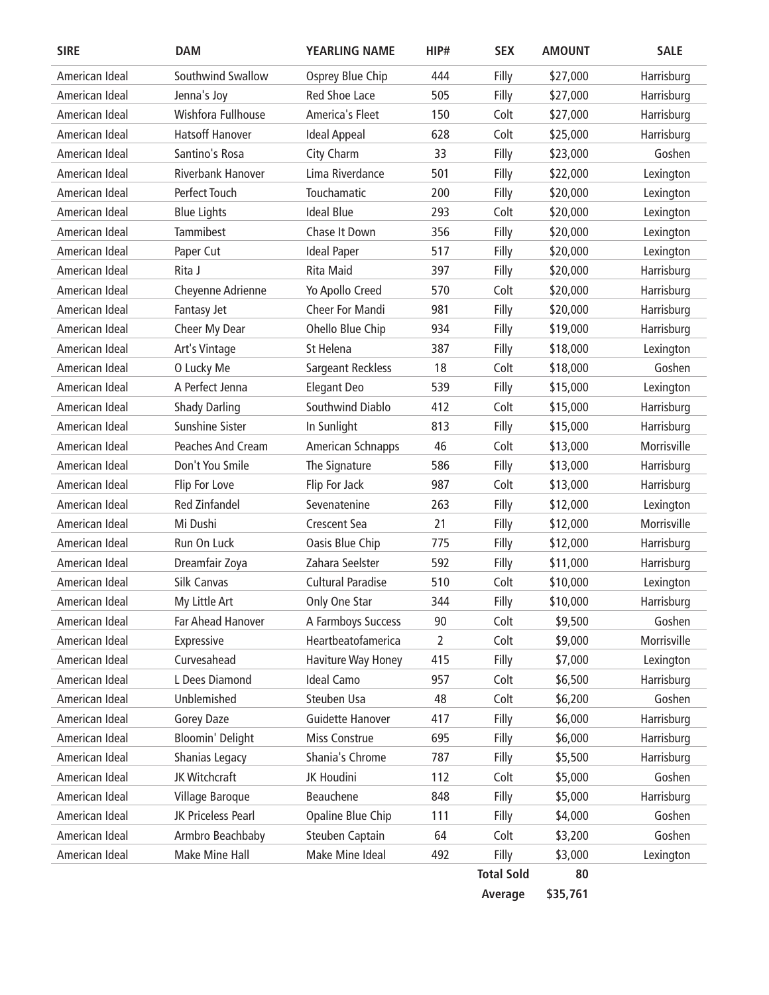| <b>SIRE</b>    | <b>DAM</b>             | <b>YEARLING NAME</b>     | HIP#           | <b>SEX</b>        | <b>AMOUNT</b> | <b>SALE</b> |
|----------------|------------------------|--------------------------|----------------|-------------------|---------------|-------------|
| American Ideal | Southwind Swallow      | Osprey Blue Chip         | 444            | Filly             | \$27,000      | Harrisburg  |
| American Ideal | Jenna's Joy            | <b>Red Shoe Lace</b>     | 505            | Filly             | \$27,000      | Harrisburg  |
| American Ideal | Wishfora Fullhouse     | America's Fleet          | 150            | Colt              | \$27,000      | Harrisburg  |
| American Ideal | <b>Hatsoff Hanover</b> | <b>Ideal Appeal</b>      | 628            | Colt              | \$25,000      | Harrisburg  |
| American Ideal | Santino's Rosa         | City Charm               | 33             | Filly             | \$23,000      | Goshen      |
| American Ideal | Riverbank Hanover      | Lima Riverdance          | 501            | Filly             | \$22,000      | Lexington   |
| American Ideal | Perfect Touch          | Touchamatic              | 200            | Filly             | \$20,000      | Lexington   |
| American Ideal | <b>Blue Lights</b>     | <b>Ideal Blue</b>        | 293            | Colt              | \$20,000      | Lexington   |
| American Ideal | <b>Tammibest</b>       | Chase It Down            | 356            | Filly             | \$20,000      | Lexington   |
| American Ideal | Paper Cut              | <b>Ideal Paper</b>       | 517            | Filly             | \$20,000      | Lexington   |
| American Ideal | Rita J                 | <b>Rita Maid</b>         | 397            | Filly             | \$20,000      | Harrisburg  |
| American Ideal | Cheyenne Adrienne      | Yo Apollo Creed          | 570            | Colt              | \$20,000      | Harrisburg  |
| American Ideal | Fantasy Jet            | Cheer For Mandi          | 981            | Filly             | \$20,000      | Harrisburg  |
| American Ideal | Cheer My Dear          | Ohello Blue Chip         | 934            | Filly             | \$19,000      | Harrisburg  |
| American Ideal | Art's Vintage          | St Helena                | 387            | Filly             | \$18,000      | Lexington   |
| American Ideal | O Lucky Me             | <b>Sargeant Reckless</b> | 18             | Colt              | \$18,000      | Goshen      |
| American Ideal | A Perfect Jenna        | <b>Elegant Deo</b>       | 539            | Filly             | \$15,000      | Lexington   |
| American Ideal | <b>Shady Darling</b>   | Southwind Diablo         | 412            | Colt              | \$15,000      | Harrisburg  |
| American Ideal | <b>Sunshine Sister</b> | In Sunlight              | 813            | Filly             | \$15,000      | Harrisburg  |
| American Ideal | Peaches And Cream      | American Schnapps        | 46             | Colt              | \$13,000      | Morrisville |
| American Ideal | Don't You Smile        | The Signature            | 586            | Filly             | \$13,000      | Harrisburg  |
| American Ideal | Flip For Love          | Flip For Jack            | 987            | Colt              | \$13,000      | Harrisburg  |
| American Ideal | <b>Red Zinfandel</b>   | Sevenatenine             | 263            | Filly             | \$12,000      | Lexington   |
| American Ideal | Mi Dushi               | Crescent Sea             | 21             | Filly             | \$12,000      | Morrisville |
| American Ideal | Run On Luck            | Oasis Blue Chip          | 775            | Filly             | \$12,000      | Harrisburg  |
| American Ideal | Dreamfair Zoya         | Zahara Seelster          | 592            | Filly             | \$11,000      | Harrisburg  |
| American Ideal | Silk Canvas            | <b>Cultural Paradise</b> | 510            | Colt              | \$10,000      | Lexington   |
| American Ideal | My Little Art          | Only One Star            | 344            | Filly             | \$10,000      | Harrisburg  |
| American Ideal | Far Ahead Hanover      | A Farmboys Success       | 90             | Colt              | \$9,500       | Goshen      |
| American Ideal | Expressive             | Heartbeatofamerica       | $\overline{2}$ | Colt              | \$9,000       | Morrisville |
| American Ideal | Curvesahead            | Haviture Way Honey       | 415            | Filly             | \$7,000       | Lexington   |
| American Ideal | L Dees Diamond         | Ideal Camo               | 957            | Colt              | \$6,500       | Harrisburg  |
| American Ideal | Unblemished            | Steuben Usa              | 48             | Colt              | \$6,200       | Goshen      |
| American Ideal | Gorey Daze             | Guidette Hanover         | 417            | Filly             | \$6,000       | Harrisburg  |
| American Ideal | Bloomin' Delight       | Miss Construe            | 695            | Filly             | \$6,000       | Harrisburg  |
| American Ideal | Shanias Legacy         | Shania's Chrome          | 787            | Filly             | \$5,500       | Harrisburg  |
| American Ideal | JK Witchcraft          | JK Houdini               | 112            | Colt              | \$5,000       | Goshen      |
| American Ideal | Village Baroque        | Beauchene                | 848            | Filly             | \$5,000       | Harrisburg  |
| American Ideal | JK Priceless Pearl     | Opaline Blue Chip        | 111            | Filly             | \$4,000       | Goshen      |
| American Ideal | Armbro Beachbaby       | Steuben Captain          | 64             | Colt              | \$3,200       | Goshen      |
| American Ideal | Make Mine Hall         | Make Mine Ideal          | 492            | Filly             | \$3,000       | Lexington   |
|                |                        |                          |                | <b>Total Sold</b> | 80            |             |

**Average \$35,761**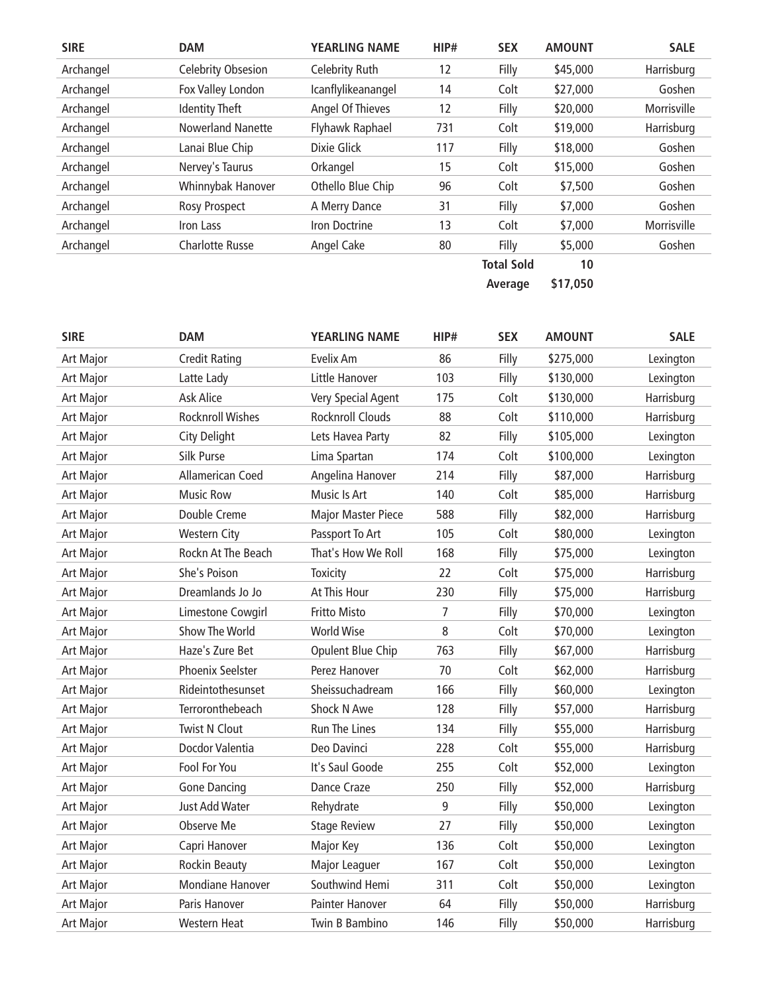| <b>SIRE</b> | <b>DAM</b>               | <b>YEARLING NAME</b> | HIP# | <b>SEX</b>        | <b>AMOUNT</b> | <b>SALE</b> |
|-------------|--------------------------|----------------------|------|-------------------|---------------|-------------|
| Archangel   | Celebrity Obsesion       | Celebrity Ruth       | 12   | Filly             | \$45,000      | Harrisburg  |
| Archangel   | Fox Valley London        | Icanflylikeanangel   | 14   | Colt              | \$27,000      | Goshen      |
| Archangel   | <b>Identity Theft</b>    | Angel Of Thieves     | 12   | Filly             | \$20,000      | Morrisville |
| Archangel   | <b>Nowerland Nanette</b> | Flyhawk Raphael      | 731  | Colt              | \$19,000      | Harrisburg  |
| Archangel   | Lanai Blue Chip          | Dixie Glick          | 117  | Filly             | \$18,000      | Goshen      |
| Archangel   | Nervey's Taurus          | Orkangel             | 15   | Colt              | \$15,000      | Goshen      |
| Archangel   | Whinnybak Hanover        | Othello Blue Chip    | 96   | Colt              | \$7,500       | Goshen      |
| Archangel   | <b>Rosy Prospect</b>     | A Merry Dance        | 31   | Filly             | \$7,000       | Goshen      |
| Archangel   | Iron Lass                | Iron Doctrine        | 13   | Colt              | \$7,000       | Morrisville |
| Archangel   | <b>Charlotte Russe</b>   | Angel Cake           | 80   | Filly             | \$5,000       | Goshen      |
|             |                          |                      |      | <b>Total Sold</b> | 10            |             |
|             |                          |                      |      | Average           | \$17,050      |             |

| <b>SIRE</b>      | <b>DAM</b>              | <b>YEARLING NAME</b>      | HIP# | <b>SEX</b> | <b>AMOUNT</b> | <b>SALE</b> |
|------------------|-------------------------|---------------------------|------|------------|---------------|-------------|
| Art Major        | <b>Credit Rating</b>    | Evelix Am                 | 86   | Filly      | \$275,000     | Lexington   |
| <b>Art Major</b> | Latte Lady              | Little Hanover            | 103  | Filly      | \$130,000     | Lexington   |
| Art Major        | Ask Alice               | Very Special Agent        | 175  | Colt       | \$130,000     | Harrisburg  |
| Art Major        | <b>Rocknroll Wishes</b> | Rocknroll Clouds          | 88   | Colt       | \$110,000     | Harrisburg  |
| Art Major        | <b>City Delight</b>     | Lets Havea Party          | 82   | Filly      | \$105,000     | Lexington   |
| Art Major        | Silk Purse              | Lima Spartan              | 174  | Colt       | \$100,000     | Lexington   |
| Art Major        | Allamerican Coed        | Angelina Hanover          | 214  | Filly      | \$87,000      | Harrisburg  |
| Art Major        | <b>Music Row</b>        | Music Is Art              | 140  | Colt       | \$85,000      | Harrisburg  |
| Art Major        | Double Creme            | <b>Major Master Piece</b> | 588  | Filly      | \$82,000      | Harrisburg  |
| Art Major        | <b>Western City</b>     | Passport To Art           | 105  | Colt       | \$80,000      | Lexington   |
| Art Major        | Rockn At The Beach      | That's How We Roll        | 168  | Filly      | \$75,000      | Lexington   |
| Art Major        | She's Poison            | <b>Toxicity</b>           | 22   | Colt       | \$75,000      | Harrisburg  |
| Art Major        | Dreamlands Jo Jo        | At This Hour              | 230  | Filly      | \$75,000      | Harrisburg  |
| Art Major        | Limestone Cowgirl       | Fritto Misto              | 7    | Filly      | \$70,000      | Lexington   |
| Art Major        | Show The World          | <b>World Wise</b>         | 8    | Colt       | \$70,000      | Lexington   |
| <b>Art Major</b> | Haze's Zure Bet         | Opulent Blue Chip         | 763  | Filly      | \$67,000      | Harrisburg  |
| Art Major        | Phoenix Seelster        | Perez Hanover             | 70   | Colt       | \$62,000      | Harrisburg  |
| Art Major        | Rideintothesunset       | Sheissuchadream           | 166  | Filly      | \$60,000      | Lexington   |
| Art Major        | Terroronthebeach        | Shock N Awe               | 128  | Filly      | \$57,000      | Harrisburg  |
| Art Major        | <b>Twist N Clout</b>    | Run The Lines             | 134  | Filly      | \$55,000      | Harrisburg  |
| Art Major        | Docdor Valentia         | Deo Davinci               | 228  | Colt       | \$55,000      | Harrisburg  |
| Art Major        | Fool For You            | It's Saul Goode           | 255  | Colt       | \$52,000      | Lexington   |
| Art Major        | <b>Gone Dancing</b>     | Dance Craze               | 250  | Filly      | \$52,000      | Harrisburg  |
| Art Major        | Just Add Water          | Rehydrate                 | 9    | Filly      | \$50,000      | Lexington   |
| Art Major        | Observe Me              | <b>Stage Review</b>       | 27   | Filly      | \$50,000      | Lexington   |
| Art Major        | Capri Hanover           | Major Key                 | 136  | Colt       | \$50,000      | Lexington   |
| Art Major        | <b>Rockin Beauty</b>    | Major Leaguer             | 167  | Colt       | \$50,000      | Lexington   |
| Art Major        | <b>Mondiane Hanover</b> | Southwind Hemi            | 311  | Colt       | \$50,000      | Lexington   |
| Art Major        | Paris Hanover           | Painter Hanover           | 64   | Filly      | \$50,000      | Harrisburg  |
| <b>Art Major</b> | <b>Western Heat</b>     | Twin B Bambino            | 146  | Filly      | \$50,000      | Harrisburg  |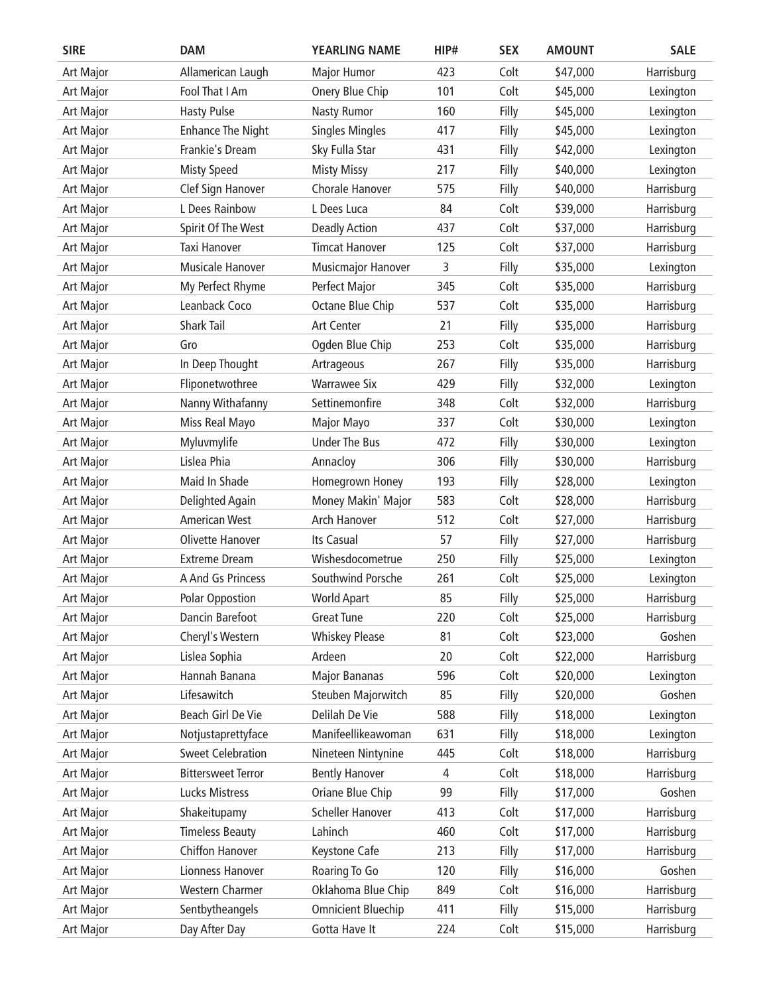| <b>SIRE</b>      | <b>DAM</b>                | <b>YEARLING NAME</b>      | HIP# | <b>SEX</b> | <b>AMOUNT</b> | <b>SALE</b> |
|------------------|---------------------------|---------------------------|------|------------|---------------|-------------|
| Art Major        | Allamerican Laugh         | <b>Major Humor</b>        | 423  | Colt       | \$47,000      | Harrisburg  |
| Art Major        | Fool That I Am            | Onery Blue Chip           | 101  | Colt       | \$45,000      | Lexington   |
| <b>Art Major</b> | <b>Hasty Pulse</b>        | <b>Nasty Rumor</b>        | 160  | Filly      | \$45,000      | Lexington   |
| Art Major        | <b>Enhance The Night</b>  | <b>Singles Mingles</b>    | 417  | Filly      | \$45,000      | Lexington   |
| Art Major        | Frankie's Dream           | Sky Fulla Star            | 431  | Filly      | \$42,000      | Lexington   |
| Art Major        | <b>Misty Speed</b>        | <b>Misty Missy</b>        | 217  | Filly      | \$40,000      | Lexington   |
| Art Major        | Clef Sign Hanover         | Chorale Hanover           | 575  | Filly      | \$40,000      | Harrisburg  |
| Art Major        | L Dees Rainbow            | L Dees Luca               | 84   | Colt       | \$39,000      | Harrisburg  |
| Art Major        | Spirit Of The West        | <b>Deadly Action</b>      | 437  | Colt       | \$37,000      | Harrisburg  |
| Art Major        | Taxi Hanover              | <b>Timcat Hanover</b>     | 125  | Colt       | \$37,000      | Harrisburg  |
| Art Major        | Musicale Hanover          | <b>Musicmajor Hanover</b> | 3    | Filly      | \$35,000      | Lexington   |
| Art Major        | My Perfect Rhyme          | Perfect Major             | 345  | Colt       | \$35,000      | Harrisburg  |
| Art Major        | Leanback Coco             | Octane Blue Chip          | 537  | Colt       | \$35,000      | Harrisburg  |
| Art Major        | <b>Shark Tail</b>         | Art Center                | 21   | Filly      | \$35,000      | Harrisburg  |
| <b>Art Major</b> | Gro                       | Ogden Blue Chip           | 253  | Colt       | \$35,000      | Harrisburg  |
| Art Major        | In Deep Thought           | Artrageous                | 267  | Filly      | \$35,000      | Harrisburg  |
| Art Major        | Fliponetwothree           | <b>Warrawee Six</b>       | 429  | Filly      | \$32,000      | Lexington   |
| Art Major        | Nanny Withafanny          | Settinemonfire            | 348  | Colt       | \$32,000      | Harrisburg  |
| Art Major        | Miss Real Mayo            | Major Mayo                | 337  | Colt       | \$30,000      | Lexington   |
| Art Major        | Myluvmylife               | <b>Under The Bus</b>      | 472  | Filly      | \$30,000      | Lexington   |
| Art Major        | Lislea Phia               | Annacloy                  | 306  | Filly      | \$30,000      | Harrisburg  |
| Art Major        | Maid In Shade             | Homegrown Honey           | 193  | Filly      | \$28,000      | Lexington   |
| Art Major        | Delighted Again           | Money Makin' Major        | 583  | Colt       | \$28,000      | Harrisburg  |
| Art Major        | <b>American West</b>      | Arch Hanover              | 512  | Colt       | \$27,000      | Harrisburg  |
| Art Major        | <b>Olivette Hanover</b>   | Its Casual                | 57   | Filly      | \$27,000      | Harrisburg  |
| Art Major        | <b>Extreme Dream</b>      | Wishesdocometrue          | 250  | Filly      | \$25,000      | Lexington   |
| Art Major        | A And Gs Princess         | Southwind Porsche         | 261  | Colt       | \$25,000      | Lexington   |
| <b>Art Major</b> | Polar Oppostion           | <b>World Apart</b>        | 85   | Filly      | \$25,000      | Harrisburg  |
| Art Major        | Dancin Barefoot           | <b>Great Tune</b>         | 220  | Colt       | \$25,000      | Harrisburg  |
| Art Major        | Cheryl's Western          | <b>Whiskey Please</b>     | 81   | Colt       | \$23,000      | Goshen      |
| Art Major        | Lislea Sophia             | Ardeen                    | 20   | Colt       | \$22,000      | Harrisburg  |
| Art Major        | Hannah Banana             | <b>Major Bananas</b>      | 596  | Colt       | \$20,000      | Lexington   |
| Art Major        | Lifesawitch               | Steuben Majorwitch        | 85   | Filly      | \$20,000      | Goshen      |
| Art Major        | Beach Girl De Vie         | Delilah De Vie            | 588  | Filly      | \$18,000      | Lexington   |
| Art Major        | Notjustaprettyface        | Manifeellikeawoman        | 631  | Filly      | \$18,000      | Lexington   |
| Art Major        | <b>Sweet Celebration</b>  | Nineteen Nintynine        | 445  | Colt       | \$18,000      | Harrisburg  |
| Art Major        | <b>Bittersweet Terror</b> | <b>Bently Hanover</b>     | 4    | Colt       | \$18,000      | Harrisburg  |
| Art Major        | Lucks Mistress            | Oriane Blue Chip          | 99   | Filly      | \$17,000      | Goshen      |
| Art Major        | Shakeitupamy              | <b>Scheller Hanover</b>   | 413  | Colt       | \$17,000      | Harrisburg  |
| Art Major        | <b>Timeless Beauty</b>    | Lahinch                   | 460  | Colt       | \$17,000      | Harrisburg  |
| Art Major        | Chiffon Hanover           | Keystone Cafe             | 213  | Filly      | \$17,000      | Harrisburg  |
| Art Major        | Lionness Hanover          | Roaring To Go             | 120  | Filly      | \$16,000      | Goshen      |
| Art Major        | <b>Western Charmer</b>    | Oklahoma Blue Chip        | 849  | Colt       | \$16,000      | Harrisburg  |
| Art Major        | Sentbytheangels           | <b>Omnicient Bluechip</b> | 411  | Filly      | \$15,000      | Harrisburg  |
| Art Major        | Day After Day             | Gotta Have It             | 224  | Colt       | \$15,000      | Harrisburg  |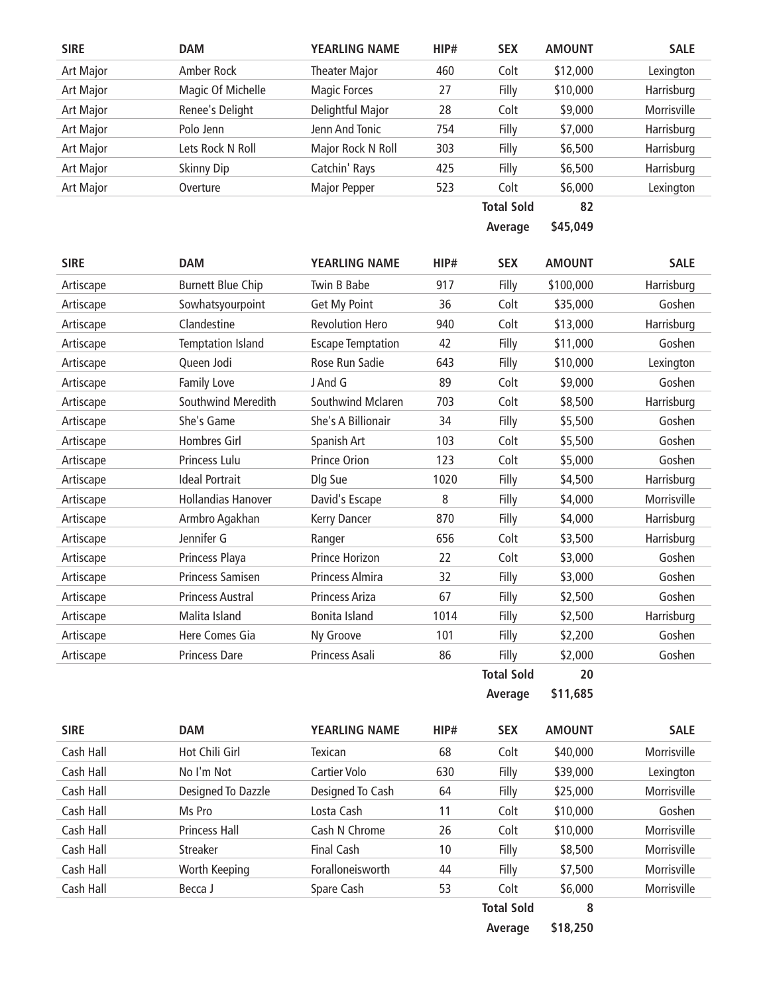| <b>SIRE</b> | <b>DAM</b>                | <b>YEARLING NAME</b>     | HIP# | <b>SEX</b>        | <b>AMOUNT</b> | <b>SALE</b> |
|-------------|---------------------------|--------------------------|------|-------------------|---------------|-------------|
| Art Major   | Amber Rock                | <b>Theater Major</b>     | 460  | Colt              | \$12,000      | Lexington   |
| Art Major   | Magic Of Michelle         | <b>Magic Forces</b>      | 27   | Filly             | \$10,000      | Harrisburg  |
| Art Major   | Renee's Delight           | Delightful Major         | 28   | Colt              | \$9,000       | Morrisville |
| Art Major   | Polo Jenn                 | Jenn And Tonic           | 754  | Filly             | \$7,000       | Harrisburg  |
| Art Major   | Lets Rock N Roll          | Major Rock N Roll        | 303  | Filly             | \$6,500       | Harrisburg  |
| Art Major   | <b>Skinny Dip</b>         | Catchin' Rays            | 425  | Filly             | \$6,500       | Harrisburg  |
| Art Major   | Overture                  | Major Pepper             | 523  | Colt              | \$6,000       | Lexington   |
|             |                           |                          |      | <b>Total Sold</b> | 82            |             |
|             |                           |                          |      | Average           | \$45,049      |             |
| <b>SIRE</b> | <b>DAM</b>                | <b>YEARLING NAME</b>     | HIP# | <b>SEX</b>        | <b>AMOUNT</b> | <b>SALE</b> |
| Artiscape   | <b>Burnett Blue Chip</b>  | Twin B Babe              | 917  | Filly             | \$100,000     | Harrisburg  |
| Artiscape   | Sowhatsyourpoint          | Get My Point             | 36   | Colt              | \$35,000      | Goshen      |
| Artiscape   | Clandestine               | <b>Revolution Hero</b>   | 940  | Colt              | \$13,000      | Harrisburg  |
| Artiscape   | <b>Temptation Island</b>  | <b>Escape Temptation</b> | 42   | Filly             | \$11,000      | Goshen      |
| Artiscape   | Queen Jodi                | Rose Run Sadie           | 643  | Filly             | \$10,000      | Lexington   |
| Artiscape   | Family Love               | J And G                  | 89   | Colt              | \$9,000       | Goshen      |
| Artiscape   | Southwind Meredith        | Southwind Mclaren        | 703  | Colt              | \$8,500       | Harrisburg  |
| Artiscape   | She's Game                | She's A Billionair       | 34   | Filly             | \$5,500       | Goshen      |
| Artiscape   | Hombres Girl              | Spanish Art              | 103  | Colt              | \$5,500       | Goshen      |
| Artiscape   | Princess Lulu             | <b>Prince Orion</b>      | 123  | Colt              | \$5,000       | Goshen      |
| Artiscape   | <b>Ideal Portrait</b>     | Dlg Sue                  | 1020 | Filly             | \$4,500       | Harrisburg  |
| Artiscape   | <b>Hollandias Hanover</b> | David's Escape           | 8    | Filly             | \$4,000       | Morrisville |
| Artiscape   | Armbro Agakhan            | Kerry Dancer             | 870  | Filly             | \$4,000       | Harrisburg  |
| Artiscape   | Jennifer G                | Ranger                   | 656  | Colt              | \$3,500       | Harrisburg  |
| Artiscape   | Princess Playa            | Prince Horizon           | 22   | Colt              | \$3,000       | Goshen      |
| Artiscape   | Princess Samisen          | Princess Almira          | 32   | Filly             | \$3,000       | Goshen      |
| Artiscape   | <b>Princess Austral</b>   | Princess Ariza           | 67   | Filly             | \$2,500       | Goshen      |
| Artiscape   | Malita Island             | Bonita Island            | 1014 | Filly             | \$2,500       | Harrisburg  |
| Artiscape   | Here Comes Gia            | Ny Groove                | 101  | Filly             | \$2,200       | Goshen      |
| Artiscape   | Princess Dare             | Princess Asali           | 86   | Filly             | \$2,000       | Goshen      |
|             |                           |                          |      | <b>Total Sold</b> | 20            |             |
|             |                           |                          |      | Average           | \$11,685      |             |

| <b>SIRE</b> | <b>DAM</b>           | <b>YEARLING NAME</b> | HIP# | <b>SEX</b>        | <b>AMOUNT</b> | <b>SALE</b> |
|-------------|----------------------|----------------------|------|-------------------|---------------|-------------|
| Cash Hall   | Hot Chili Girl       | Texican              | 68   | Colt              | \$40,000      | Morrisville |
| Cash Hall   | No I'm Not           | Cartier Volo         | 630  | Filly             | \$39,000      | Lexington   |
| Cash Hall   | Designed To Dazzle   | Designed To Cash     | 64   | Filly             | \$25,000      | Morrisville |
| Cash Hall   | Ms Pro               | Losta Cash           | 11   | Colt              | \$10,000      | Goshen      |
| Cash Hall   | <b>Princess Hall</b> | Cash N Chrome        | 26   | Colt              | \$10,000      | Morrisville |
| Cash Hall   | <b>Streaker</b>      | Final Cash           | 10   | Filly             | \$8,500       | Morrisville |
| Cash Hall   | Worth Keeping        | Foralloneisworth     | 44   | Filly             | \$7,500       | Morrisville |
| Cash Hall   | Becca J              | Spare Cash           | 53   | Colt              | \$6,000       | Morrisville |
|             |                      |                      |      | <b>Total Sold</b> | 8             |             |

**Average \$18,250**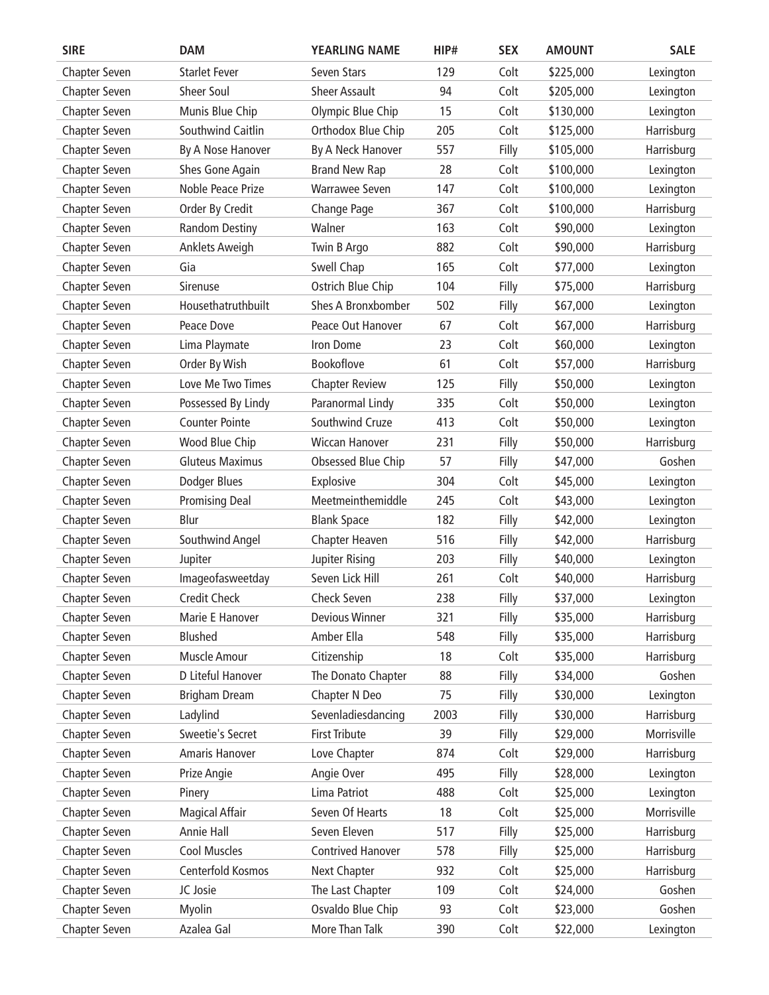| <b>SIRE</b>   | <b>DAM</b>             | YEARLING NAME            | HIP# | <b>SEX</b> | <b>AMOUNT</b> | <b>SALE</b> |
|---------------|------------------------|--------------------------|------|------------|---------------|-------------|
| Chapter Seven | <b>Starlet Fever</b>   | Seven Stars              | 129  | Colt       | \$225,000     | Lexington   |
| Chapter Seven | Sheer Soul             | <b>Sheer Assault</b>     | 94   | Colt       | \$205,000     | Lexington   |
| Chapter Seven | Munis Blue Chip        | Olympic Blue Chip        | 15   | Colt       | \$130,000     | Lexington   |
| Chapter Seven | Southwind Caitlin      | Orthodox Blue Chip       | 205  | Colt       | \$125,000     | Harrisburg  |
| Chapter Seven | By A Nose Hanover      | By A Neck Hanover        | 557  | Filly      | \$105,000     | Harrisburg  |
| Chapter Seven | Shes Gone Again        | <b>Brand New Rap</b>     | 28   | Colt       | \$100,000     | Lexington   |
| Chapter Seven | Noble Peace Prize      | Warrawee Seven           | 147  | Colt       | \$100,000     | Lexington   |
| Chapter Seven | Order By Credit        | Change Page              | 367  | Colt       | \$100,000     | Harrisburg  |
| Chapter Seven | <b>Random Destiny</b>  | Walner                   | 163  | Colt       | \$90,000      | Lexington   |
| Chapter Seven | Anklets Aweigh         | Twin B Argo              | 882  | Colt       | \$90,000      | Harrisburg  |
| Chapter Seven | Gia                    | Swell Chap               | 165  | Colt       | \$77,000      | Lexington   |
| Chapter Seven | Sirenuse               | Ostrich Blue Chip        | 104  | Filly      | \$75,000      | Harrisburg  |
| Chapter Seven | Housethatruthbuilt     | Shes A Bronxbomber       | 502  | Filly      | \$67,000      | Lexington   |
| Chapter Seven | Peace Dove             | Peace Out Hanover        | 67   | Colt       | \$67,000      | Harrisburg  |
| Chapter Seven | Lima Playmate          | Iron Dome                | 23   | Colt       | \$60,000      | Lexington   |
| Chapter Seven | Order By Wish          | Bookoflove               | 61   | Colt       | \$57,000      | Harrisburg  |
| Chapter Seven | Love Me Two Times      | <b>Chapter Review</b>    | 125  | Filly      | \$50,000      | Lexington   |
| Chapter Seven | Possessed By Lindy     | Paranormal Lindy         | 335  | Colt       | \$50,000      | Lexington   |
| Chapter Seven | <b>Counter Pointe</b>  | Southwind Cruze          | 413  | Colt       | \$50,000      | Lexington   |
| Chapter Seven | Wood Blue Chip         | <b>Wiccan Hanover</b>    | 231  | Filly      | \$50,000      | Harrisburg  |
| Chapter Seven | <b>Gluteus Maximus</b> | Obsessed Blue Chip       | 57   | Filly      | \$47,000      | Goshen      |
| Chapter Seven | Dodger Blues           | Explosive                | 304  | Colt       | \$45,000      | Lexington   |
| Chapter Seven | <b>Promising Deal</b>  | Meetmeinthemiddle        | 245  | Colt       | \$43,000      | Lexington   |
| Chapter Seven | Blur                   | <b>Blank Space</b>       | 182  | Filly      | \$42,000      | Lexington   |
| Chapter Seven | Southwind Angel        | Chapter Heaven           | 516  | Filly      | \$42,000      | Harrisburg  |
| Chapter Seven | Jupiter                | Jupiter Rising           | 203  | Filly      | \$40,000      | Lexington   |
| Chapter Seven | Imageofasweetday       | Seven Lick Hill          | 261  | Colt       | \$40,000      | Harrisburg  |
| Chapter Seven | <b>Credit Check</b>    | <b>Check Seven</b>       | 238  | Filly      | \$37,000      | Lexington   |
| Chapter Seven | Marie E Hanover        | <b>Devious Winner</b>    | 321  | Filly      | \$35,000      | Harrisburg  |
| Chapter Seven | <b>Blushed</b>         | Amber Ella               | 548  | Filly      | \$35,000      | Harrisburg  |
| Chapter Seven | <b>Muscle Amour</b>    | Citizenship              | 18   | Colt       | \$35,000      | Harrisburg  |
| Chapter Seven | D Liteful Hanover      | The Donato Chapter       | 88   | Filly      | \$34,000      | Goshen      |
| Chapter Seven | <b>Brigham Dream</b>   | Chapter N Deo            | 75   | Filly      | \$30,000      | Lexington   |
| Chapter Seven | Ladylind               | Sevenladiesdancing       | 2003 | Filly      | \$30,000      | Harrisburg  |
| Chapter Seven | Sweetie's Secret       | <b>First Tribute</b>     | 39   | Filly      | \$29,000      | Morrisville |
| Chapter Seven | Amaris Hanover         | Love Chapter             | 874  | Colt       | \$29,000      | Harrisburg  |
| Chapter Seven | Prize Angie            | Angie Over               | 495  | Filly      | \$28,000      | Lexington   |
| Chapter Seven | Pinery                 | Lima Patriot             | 488  | Colt       | \$25,000      | Lexington   |
| Chapter Seven | <b>Magical Affair</b>  | Seven Of Hearts          | 18   | Colt       | \$25,000      | Morrisville |
| Chapter Seven | Annie Hall             | Seven Eleven             | 517  | Filly      | \$25,000      | Harrisburg  |
| Chapter Seven | Cool Muscles           | <b>Contrived Hanover</b> | 578  | Filly      | \$25,000      | Harrisburg  |
| Chapter Seven | Centerfold Kosmos      | Next Chapter             | 932  | Colt       | \$25,000      | Harrisburg  |
| Chapter Seven | JC Josie               | The Last Chapter         | 109  | Colt       | \$24,000      | Goshen      |
| Chapter Seven | <b>Myolin</b>          | Osvaldo Blue Chip        | 93   | Colt       | \$23,000      | Goshen      |
| Chapter Seven | Azalea Gal             | More Than Talk           | 390  | Colt       | \$22,000      | Lexington   |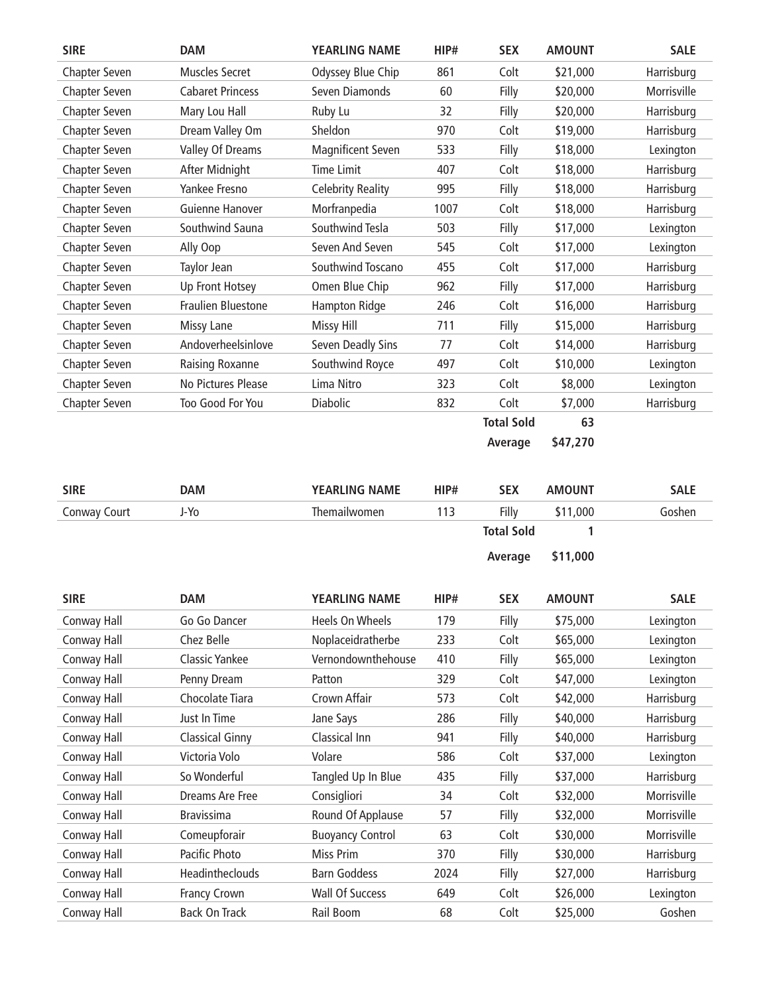| <b>SIRE</b>          | <b>DAM</b>              | <b>YEARLING NAME</b>     | HIP# | <b>SEX</b>        | <b>AMOUNT</b> | <b>SALE</b> |
|----------------------|-------------------------|--------------------------|------|-------------------|---------------|-------------|
| Chapter Seven        | Muscles Secret          | Odyssey Blue Chip        | 861  | Colt              | \$21,000      | Harrisburg  |
| Chapter Seven        | <b>Cabaret Princess</b> | Seven Diamonds           | 60   | Filly             | \$20,000      | Morrisville |
| Chapter Seven        | Mary Lou Hall           | Ruby Lu                  | 32   | Filly             | \$20,000      | Harrisburg  |
| Chapter Seven        | Dream Valley Om         | Sheldon                  | 970  | Colt              | \$19,000      | Harrisburg  |
| Chapter Seven        | Valley Of Dreams        | Magnificent Seven        | 533  | Filly             | \$18,000      | Lexington   |
| Chapter Seven        | After Midnight          | <b>Time Limit</b>        | 407  | Colt              | \$18,000      | Harrisburg  |
| <b>Chapter Seven</b> | Yankee Fresno           | <b>Celebrity Reality</b> | 995  | Filly             | \$18,000      | Harrisburg  |
| Chapter Seven        | Guienne Hanover         | Morfranpedia             | 1007 | Colt              | \$18,000      | Harrisburg  |
| Chapter Seven        | Southwind Sauna         | Southwind Tesla          | 503  | Filly             | \$17,000      | Lexington   |
| <b>Chapter Seven</b> | Ally Oop                | Seven And Seven          | 545  | Colt              | \$17,000      | Lexington   |
| Chapter Seven        | Taylor Jean             | Southwind Toscano        | 455  | Colt              | \$17,000      | Harrisburg  |
| Chapter Seven        | Up Front Hotsey         | Omen Blue Chip           | 962  | Filly             | \$17,000      | Harrisburg  |
| Chapter Seven        | Fraulien Bluestone      | Hampton Ridge            | 246  | Colt              | \$16,000      | Harrisburg  |
| <b>Chapter Seven</b> | Missy Lane              | <b>Missy Hill</b>        | 711  | Filly             | \$15,000      | Harrisburg  |
| <b>Chapter Seven</b> | Andoverheelsinlove      | Seven Deadly Sins        | 77   | Colt              | \$14,000      | Harrisburg  |
| Chapter Seven        | Raising Roxanne         | Southwind Royce          | 497  | Colt              | \$10,000      | Lexington   |
| Chapter Seven        | No Pictures Please      | Lima Nitro               | 323  | Colt              | \$8,000       | Lexington   |
| <b>Chapter Seven</b> | Too Good For You        | Diabolic                 | 832  | Colt              | \$7,000       | Harrisburg  |
|                      |                         |                          |      | <b>Total Sold</b> | 63            |             |
|                      |                         |                          |      | Average           | \$47,270      |             |

| <b>SIRE</b>  | <b>DAM</b>             | <b>YEARLING NAME</b>    | HIP# | <b>SEX</b>        | <b>AMOUNT</b> | <b>SALE</b> |
|--------------|------------------------|-------------------------|------|-------------------|---------------|-------------|
| Conway Court | J-Yo                   | Themailwomen            | 113  | Filly             | \$11,000      | Goshen      |
|              |                        |                         |      | <b>Total Sold</b> | 1             |             |
|              |                        |                         |      | Average           | \$11,000      |             |
|              |                        |                         |      |                   |               |             |
| <b>SIRE</b>  | <b>DAM</b>             | <b>YEARLING NAME</b>    | HIP# | <b>SEX</b>        | <b>AMOUNT</b> | <b>SALE</b> |
| Conway Hall  | Go Go Dancer           | <b>Heels On Wheels</b>  | 179  | Filly             | \$75,000      | Lexington   |
| Conway Hall  | Chez Belle             | Noplaceidratherbe       | 233  | Colt              | \$65,000      | Lexington   |
| Conway Hall  | <b>Classic Yankee</b>  | Vernondownthehouse      | 410  | Filly             | \$65,000      | Lexington   |
| Conway Hall  | Penny Dream            | Patton                  | 329  | Colt              | \$47,000      | Lexington   |
| Conway Hall  | Chocolate Tiara        | Crown Affair            | 573  | Colt              | \$42,000      | Harrisburg  |
| Conway Hall  | Just In Time           | Jane Says               | 286  | Filly             | \$40,000      | Harrisburg  |
| Conway Hall  | <b>Classical Ginny</b> | Classical Inn           | 941  | Filly             | \$40,000      | Harrisburg  |
| Conway Hall  | Victoria Volo          | Volare                  | 586  | Colt              | \$37,000      | Lexington   |
| Conway Hall  | So Wonderful           | Tangled Up In Blue      | 435  | Filly             | \$37,000      | Harrisburg  |
| Conway Hall  | Dreams Are Free        | Consigliori             | 34   | Colt              | \$32,000      | Morrisville |
| Conway Hall  | <b>Bravissima</b>      | Round Of Applause       | 57   | Filly             | \$32,000      | Morrisville |
| Conway Hall  | Comeupforair           | <b>Buoyancy Control</b> | 63   | Colt              | \$30,000      | Morrisville |
| Conway Hall  | Pacific Photo          | Miss Prim               | 370  | Filly             | \$30,000      | Harrisburg  |
| Conway Hall  | Headintheclouds        | <b>Barn Goddess</b>     | 2024 | Filly             | \$27,000      | Harrisburg  |
| Conway Hall  | Francy Crown           | <b>Wall Of Success</b>  | 649  | Colt              | \$26,000      | Lexington   |
| Conway Hall  | <b>Back On Track</b>   | Rail Boom               | 68   | Colt              | \$25,000      | Goshen      |
|              |                        |                         |      |                   |               |             |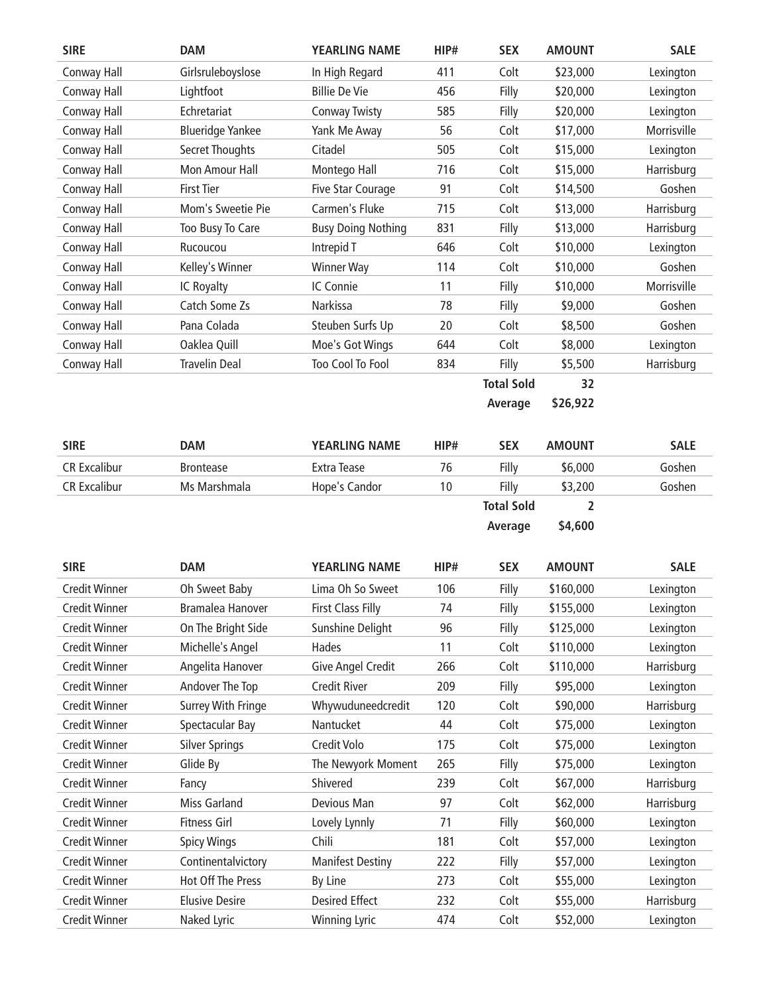| <b>SIRE</b>          | <b>DAM</b>                | <b>YEARLING NAME</b>      | HIP# | <b>SEX</b>        | <b>AMOUNT</b> | <b>SALE</b> |
|----------------------|---------------------------|---------------------------|------|-------------------|---------------|-------------|
| Conway Hall          | Girlsruleboyslose         | In High Regard            | 411  | Colt              | \$23,000      | Lexington   |
| Conway Hall          | Lightfoot                 | <b>Billie De Vie</b>      | 456  | Filly             | \$20,000      | Lexington   |
| Conway Hall          | Echretariat               | <b>Conway Twisty</b>      | 585  | Filly             | \$20,000      | Lexington   |
| Conway Hall          | <b>Blueridge Yankee</b>   | Yank Me Away              | 56   | Colt              | \$17,000      | Morrisville |
| Conway Hall          | <b>Secret Thoughts</b>    | Citadel                   | 505  | Colt              | \$15,000      | Lexington   |
| Conway Hall          | Mon Amour Hall            | Montego Hall              | 716  | Colt              | \$15,000      | Harrisburg  |
| Conway Hall          | <b>First Tier</b>         | Five Star Courage         | 91   | Colt              | \$14,500      | Goshen      |
| Conway Hall          | Mom's Sweetie Pie         | Carmen's Fluke            | 715  | Colt              | \$13,000      | Harrisburg  |
| Conway Hall          | Too Busy To Care          | <b>Busy Doing Nothing</b> | 831  | Filly             | \$13,000      | Harrisburg  |
| Conway Hall          | Rucoucou                  | Intrepid T                | 646  | Colt              | \$10,000      | Lexington   |
| Conway Hall          | Kelley's Winner           | <b>Winner Way</b>         | 114  | Colt              | \$10,000      | Goshen      |
| Conway Hall          | IC Royalty                | IC Connie                 | 11   | Filly             | \$10,000      | Morrisville |
| Conway Hall          | Catch Some Zs             | Narkissa                  | 78   | Filly             | \$9,000       | Goshen      |
| Conway Hall          | Pana Colada               | Steuben Surfs Up          | 20   | Colt              | \$8,500       | Goshen      |
| Conway Hall          | Oaklea Quill              | Moe's Got Wings           | 644  | Colt              | \$8,000       | Lexington   |
| Conway Hall          | <b>Travelin Deal</b>      | Too Cool To Fool          | 834  | Filly             | \$5,500       | Harrisburg  |
|                      |                           |                           |      | <b>Total Sold</b> | 32            |             |
|                      |                           |                           |      | Average           | \$26,922      |             |
|                      |                           |                           |      |                   |               |             |
| <b>SIRE</b>          | <b>DAM</b>                | <b>YEARLING NAME</b>      | HIP# | <b>SEX</b>        | <b>AMOUNT</b> | <b>SALE</b> |
| <b>CR Excalibur</b>  | <b>Brontease</b>          | <b>Extra Tease</b>        | 76   | Filly             | \$6,000       | Goshen      |
|                      |                           |                           |      |                   |               |             |
| <b>CR Excalibur</b>  | Ms Marshmala              | Hope's Candor             | 10   | Filly             | \$3,200       | Goshen      |
|                      |                           |                           |      | <b>Total Sold</b> | 2             |             |
|                      |                           |                           |      | Average           | \$4,600       |             |
|                      |                           |                           |      |                   |               |             |
| <b>SIRE</b>          | <b>DAM</b>                | <b>YEARLING NAME</b>      | HIP# | <b>SEX</b>        | <b>AMOUNT</b> | <b>SALE</b> |
| <b>Credit Winner</b> | Oh Sweet Baby             | Lima Oh So Sweet          | 106  | Filly             | \$160,000     | Lexington   |
| <b>Credit Winner</b> | Bramalea Hanover          | <b>First Class Filly</b>  | 74   | Filly             | \$155,000     | Lexington   |
| <b>Credit Winner</b> | On The Bright Side        | Sunshine Delight          | 96   | Filly             | \$125,000     | Lexington   |
| <b>Credit Winner</b> | Michelle's Angel          | Hades                     | 11   | Colt              | \$110,000     | Lexington   |
| <b>Credit Winner</b> | Angelita Hanover          | Give Angel Credit         | 266  | Colt              | \$110,000     | Harrisburg  |
| <b>Credit Winner</b> | Andover The Top           | <b>Credit River</b>       | 209  | Filly             | \$95,000      | Lexington   |
| <b>Credit Winner</b> | <b>Surrey With Fringe</b> | Whywuduneedcredit         | 120  | Colt              | \$90,000      | Harrisburg  |
| <b>Credit Winner</b> | Spectacular Bay           | Nantucket                 | 44   | Colt              | \$75,000      | Lexington   |
| <b>Credit Winner</b> | <b>Silver Springs</b>     | Credit Volo               | 175  | Colt              | \$75,000      | Lexington   |
| <b>Credit Winner</b> | Glide By                  | The Newyork Moment        | 265  | Filly             | \$75,000      | Lexington   |
| <b>Credit Winner</b> | Fancy                     | Shivered                  | 239  | Colt              | \$67,000      | Harrisburg  |
| <b>Credit Winner</b> | <b>Miss Garland</b>       | Devious Man               | 97   | Colt              | \$62,000      | Harrisburg  |
| <b>Credit Winner</b> | <b>Fitness Girl</b>       | Lovely Lynnly             | 71   | Filly             | \$60,000      | Lexington   |
| <b>Credit Winner</b> | <b>Spicy Wings</b>        | Chili                     | 181  | Colt              | \$57,000      | Lexington   |
| <b>Credit Winner</b> | Continentalvictory        | <b>Manifest Destiny</b>   | 222  | Filly             | \$57,000      | Lexington   |
| <b>Credit Winner</b> | Hot Off The Press         | By Line                   | 273  | Colt              | \$55,000      | Lexington   |
| <b>Credit Winner</b> | <b>Elusive Desire</b>     | <b>Desired Effect</b>     | 232  | Colt              | \$55,000      | Harrisburg  |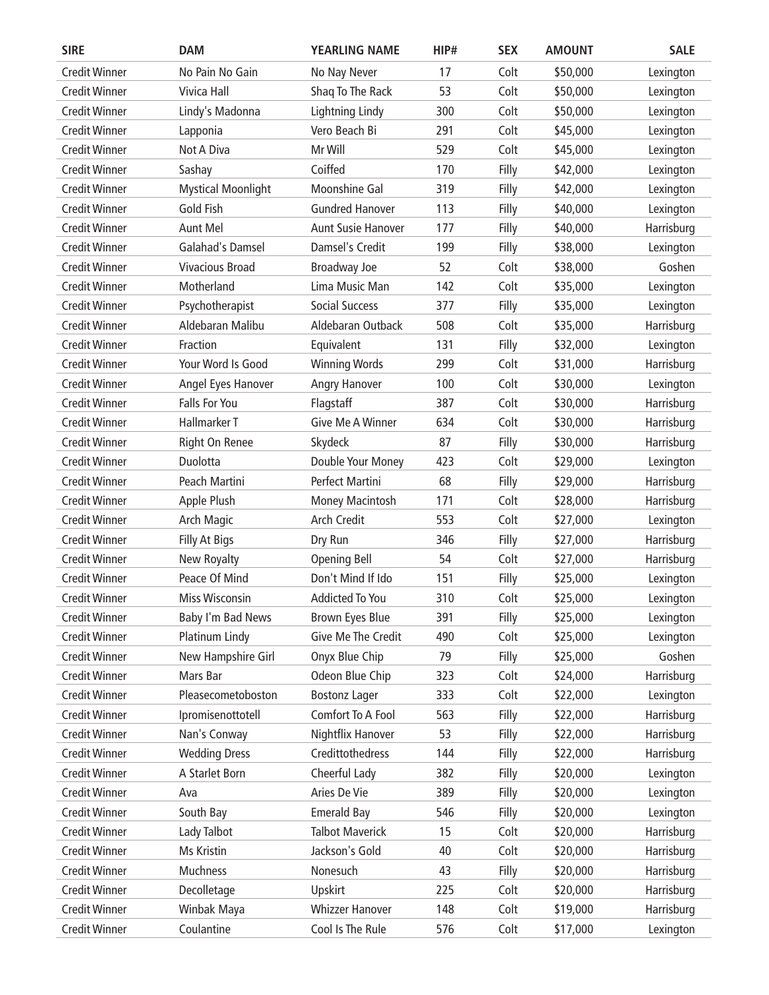| <b>SIRE</b>          | <b>DAM</b>                | <b>YEARLING NAME</b>      | HIP# | <b>SEX</b> | <b>AMOUNT</b> | <b>SALE</b> |
|----------------------|---------------------------|---------------------------|------|------------|---------------|-------------|
| <b>Credit Winner</b> | No Pain No Gain           | No Nay Never              | 17   | Colt       | \$50,000      | Lexington   |
| <b>Credit Winner</b> | Vivica Hall               | Shaq To The Rack          | 53   | Colt       | \$50,000      | Lexington   |
| <b>Credit Winner</b> | Lindy's Madonna           | Lightning Lindy           | 300  | Colt       | \$50,000      | Lexington   |
| <b>Credit Winner</b> | Lapponia                  | Vero Beach Bi             | 291  | Colt       | \$45,000      | Lexington   |
| <b>Credit Winner</b> | Not A Diva                | Mr Will                   | 529  | Colt       | \$45,000      | Lexington   |
| <b>Credit Winner</b> | Sashay                    | Coiffed                   | 170  | Filly      | \$42,000      | Lexington   |
| <b>Credit Winner</b> | <b>Mystical Moonlight</b> | Moonshine Gal             | 319  | Filly      | \$42,000      | Lexington   |
| <b>Credit Winner</b> | Gold Fish                 | <b>Gundred Hanover</b>    | 113  | Filly      | \$40,000      | Lexington   |
| <b>Credit Winner</b> | Aunt Mel                  | <b>Aunt Susie Hanover</b> | 177  | Filly      | \$40,000      | Harrisburg  |
| <b>Credit Winner</b> | Galahad's Damsel          | Damsel's Credit           | 199  | Filly      | \$38,000      | Lexington   |
| <b>Credit Winner</b> | <b>Vivacious Broad</b>    | Broadway Joe              | 52   | Colt       | \$38,000      | Goshen      |
| <b>Credit Winner</b> | Motherland                | Lima Music Man            | 142  | Colt       | \$35,000      | Lexington   |
| <b>Credit Winner</b> | Psychotherapist           | <b>Social Success</b>     | 377  | Filly      | \$35,000      | Lexington   |
| <b>Credit Winner</b> | Aldebaran Malibu          | Aldebaran Outback         | 508  | Colt       | \$35,000      | Harrisburg  |
| <b>Credit Winner</b> | Fraction                  | Equivalent                | 131  | Filly      | \$32,000      | Lexington   |
| <b>Credit Winner</b> | Your Word Is Good         | <b>Winning Words</b>      | 299  | Colt       | \$31,000      | Harrisburg  |
| <b>Credit Winner</b> | Angel Eyes Hanover        | Angry Hanover             | 100  | Colt       | \$30,000      | Lexington   |
| <b>Credit Winner</b> | <b>Falls For You</b>      | Flagstaff                 | 387  | Colt       | \$30,000      | Harrisburg  |
| <b>Credit Winner</b> | Hallmarker T              | Give Me A Winner          | 634  | Colt       | \$30,000      | Harrisburg  |
| <b>Credit Winner</b> | Right On Renee            | Skydeck                   | 87   | Filly      | \$30,000      | Harrisburg  |
| <b>Credit Winner</b> | Duolotta                  | Double Your Money         | 423  | Colt       | \$29,000      | Lexington   |
| <b>Credit Winner</b> | Peach Martini             | Perfect Martini           | 68   | Filly      | \$29,000      | Harrisburg  |
| <b>Credit Winner</b> | Apple Plush               | <b>Money Macintosh</b>    | 171  | Colt       | \$28,000      | Harrisburg  |
| <b>Credit Winner</b> | Arch Magic                | <b>Arch Credit</b>        | 553  | Colt       | \$27,000      | Lexington   |
| <b>Credit Winner</b> | Filly At Bigs             | Dry Run                   | 346  | Filly      | \$27,000      | Harrisburg  |
| <b>Credit Winner</b> | New Royalty               | <b>Opening Bell</b>       | 54   | Colt       | \$27,000      | Harrisburg  |
| <b>Credit Winner</b> | Peace Of Mind             | Don't Mind If Ido         | 151  | Filly      | \$25,000      | Lexington   |
| <b>Credit Winner</b> | Miss Wisconsin            | <b>Addicted To You</b>    | 310  | Colt       | \$25,000      | Lexington   |
| <b>Credit Winner</b> | Baby I'm Bad News         | Brown Eyes Blue           | 391  | Filly      | \$25,000      | Lexington   |
| <b>Credit Winner</b> | Platinum Lindy            | Give Me The Credit        | 490  | Colt       | \$25,000      | Lexington   |
| <b>Credit Winner</b> | New Hampshire Girl        | Onyx Blue Chip            | 79   | Filly      | \$25,000      | Goshen      |
| <b>Credit Winner</b> | Mars Bar                  | Odeon Blue Chip           | 323  | Colt       | \$24,000      | Harrisburg  |
| <b>Credit Winner</b> | Pleasecometoboston        | <b>Bostonz Lager</b>      | 333  | Colt       | \$22,000      | Lexington   |
| <b>Credit Winner</b> | Ipromisenottotell         | Comfort To A Fool         | 563  | Filly      | \$22,000      | Harrisburg  |
| <b>Credit Winner</b> | Nan's Conway              | Nightflix Hanover         | 53   | Filly      | \$22,000      | Harrisburg  |
| <b>Credit Winner</b> | <b>Wedding Dress</b>      | Credittothedress          | 144  | Filly      | \$22,000      | Harrisburg  |
| <b>Credit Winner</b> | A Starlet Born            | Cheerful Lady             | 382  | Filly      | \$20,000      | Lexington   |
| <b>Credit Winner</b> | Ava                       | Aries De Vie              | 389  | Filly      | \$20,000      | Lexington   |
| <b>Credit Winner</b> | South Bay                 | <b>Emerald Bay</b>        | 546  | Filly      | \$20,000      | Lexington   |
| <b>Credit Winner</b> | Lady Talbot               | <b>Talbot Maverick</b>    | 15   | Colt       | \$20,000      | Harrisburg  |
| <b>Credit Winner</b> | Ms Kristin                | Jackson's Gold            | 40   | Colt       | \$20,000      | Harrisburg  |
| <b>Credit Winner</b> | Muchness                  | Nonesuch                  | 43   | Filly      | \$20,000      | Harrisburg  |
| <b>Credit Winner</b> | Decolletage               | Upskirt                   | 225  | Colt       | \$20,000      | Harrisburg  |
| <b>Credit Winner</b> | Winbak Maya               | <b>Whizzer Hanover</b>    | 148  | Colt       | \$19,000      | Harrisburg  |
| Credit Winner        | Coulantine                | Cool Is The Rule          | 576  |            |               |             |
|                      |                           |                           |      | Colt       | \$17,000      | Lexington   |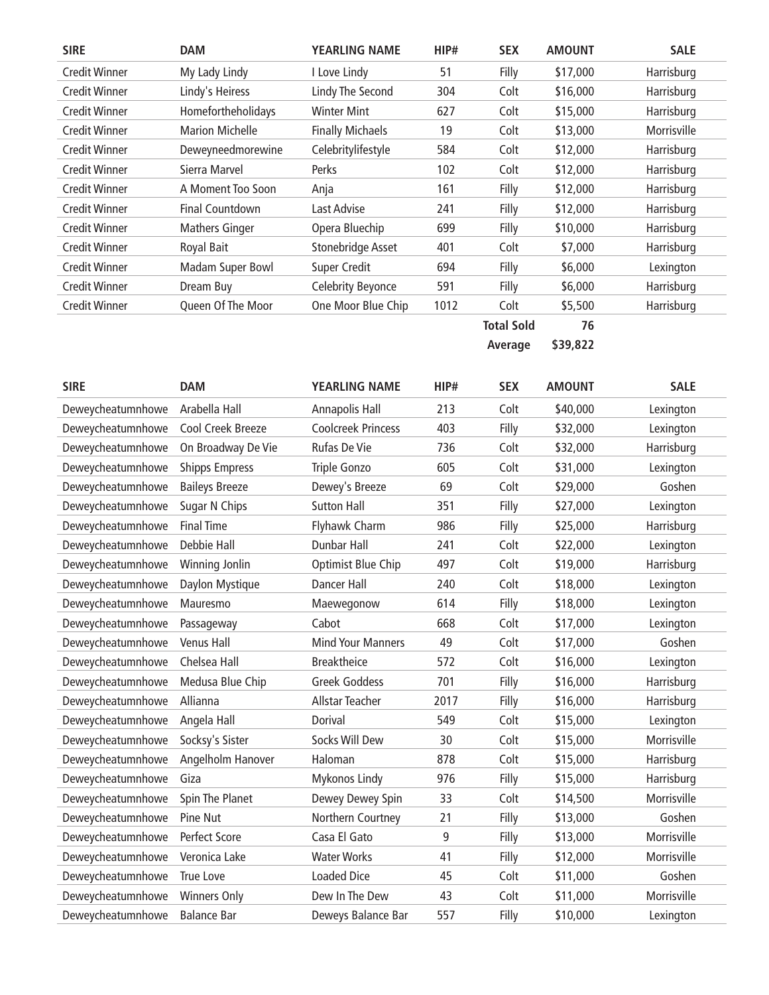| <b>SIRE</b>          | <b>DAM</b>             | <b>YEARLING NAME</b>    | HIP# | <b>SEX</b> | <b>AMOUNT</b> | <b>SALE</b> |
|----------------------|------------------------|-------------------------|------|------------|---------------|-------------|
| <b>Credit Winner</b> | My Lady Lindy          | I Love Lindy            | 51   | Filly      | \$17,000      | Harrisburg  |
| <b>Credit Winner</b> | Lindy's Heiress        | Lindy The Second        | 304  | Colt       | \$16,000      | Harrisburg  |
| <b>Credit Winner</b> | Homefortheholidays     | Winter Mint             | 627  | Colt       | \$15,000      | Harrisburg  |
| <b>Credit Winner</b> | <b>Marion Michelle</b> | <b>Finally Michaels</b> | 19   | Colt       | \$13,000      | Morrisville |
| <b>Credit Winner</b> | Deweyneedmorewine      | Celebritylifestyle      | 584  | Colt       | \$12,000      | Harrisburg  |
| <b>Credit Winner</b> | Sierra Marvel          | <b>Perks</b>            | 102  | Colt       | \$12,000      | Harrisburg  |
| <b>Credit Winner</b> | A Moment Too Soon      | Anja                    | 161  | Filly      | \$12,000      | Harrisburg  |
| <b>Credit Winner</b> | Final Countdown        | Last Advise             | 241  | Filly      | \$12,000      | Harrisburg  |
| <b>Credit Winner</b> | <b>Mathers Ginger</b>  | Opera Bluechip          | 699  | Filly      | \$10,000      | Harrisburg  |
| <b>Credit Winner</b> | Royal Bait             | Stonebridge Asset       | 401  | Colt       | \$7,000       | Harrisburg  |
| <b>Credit Winner</b> | Madam Super Bowl       | Super Credit            | 694  | Filly      | \$6,000       | Lexington   |
| <b>Credit Winner</b> | Dream Buy              | Celebrity Beyonce       | 591  | Filly      | \$6,000       | Harrisburg  |
| <b>Credit Winner</b> | Queen Of The Moor      | One Moor Blue Chip      | 1012 | Colt       | \$5,500       | Harrisburg  |
|                      |                        |                         |      | -          | --            |             |

 **Total Sold 76 Average \$39,822**

| <b>SIRE</b>       | <b>DAM</b>            | <b>YEARLING NAME</b>      | HIP# | <b>SEX</b> | <b>AMOUNT</b> | <b>SALE</b> |
|-------------------|-----------------------|---------------------------|------|------------|---------------|-------------|
| Deweycheatumnhowe | Arabella Hall         | Annapolis Hall            | 213  | Colt       | \$40,000      | Lexington   |
| Deweycheatumnhowe | Cool Creek Breeze     | <b>Coolcreek Princess</b> | 403  | Filly      | \$32,000      | Lexington   |
| Deweycheatumnhowe | On Broadway De Vie    | Rufas De Vie              | 736  | Colt       | \$32,000      | Harrisburg  |
| Deweycheatumnhowe | <b>Shipps Empress</b> | Triple Gonzo              | 605  | Colt       | \$31,000      | Lexington   |
| Deweycheatumnhowe | <b>Baileys Breeze</b> | Dewey's Breeze            | 69   | Colt       | \$29,000      | Goshen      |
| Deweycheatumnhowe | Sugar N Chips         | <b>Sutton Hall</b>        | 351  | Filly      | \$27,000      | Lexington   |
| Deweycheatumnhowe | <b>Final Time</b>     | Flyhawk Charm             | 986  | Filly      | \$25,000      | Harrisburg  |
| Deweycheatumnhowe | Debbie Hall           | <b>Dunbar Hall</b>        | 241  | Colt       | \$22,000      | Lexington   |
| Deweycheatumnhowe | Winning Jonlin        | Optimist Blue Chip        | 497  | Colt       | \$19,000      | Harrisburg  |
| Deweycheatumnhowe | Daylon Mystique       | Dancer Hall               | 240  | Colt       | \$18,000      | Lexington   |
| Deweycheatumnhowe | Mauresmo              | Maewegonow                | 614  | Filly      | \$18,000      | Lexington   |
| Deweycheatumnhowe | Passageway            | Cabot                     | 668  | Colt       | \$17,000      | Lexington   |
| Deweycheatumnhowe | Venus Hall            | <b>Mind Your Manners</b>  | 49   | Colt       | \$17,000      | Goshen      |
| Deweycheatumnhowe | Chelsea Hall          | <b>Breaktheice</b>        | 572  | Colt       | \$16,000      | Lexington   |
| Deweycheatumnhowe | Medusa Blue Chip      | <b>Greek Goddess</b>      | 701  | Filly      | \$16,000      | Harrisburg  |
| Deweycheatumnhowe | Allianna              | <b>Allstar Teacher</b>    | 2017 | Filly      | \$16,000      | Harrisburg  |
| Deweycheatumnhowe | Angela Hall           | Dorival                   | 549  | Colt       | \$15,000      | Lexington   |
| Deweycheatumnhowe | Socksy's Sister       | Socks Will Dew            | 30   | Colt       | \$15,000      | Morrisville |
| Deweycheatumnhowe | Angelholm Hanover     | Haloman                   | 878  | Colt       | \$15,000      | Harrisburg  |
| Deweycheatumnhowe | Giza                  | Mykonos Lindy             | 976  | Filly      | \$15,000      | Harrisburg  |
| Deweycheatumnhowe | Spin The Planet       | Dewey Dewey Spin          | 33   | Colt       | \$14,500      | Morrisville |
| Deweycheatumnhowe | Pine Nut              | Northern Courtney         | 21   | Filly      | \$13,000      | Goshen      |
| Deweycheatumnhowe | Perfect Score         | Casa El Gato              | 9    | Filly      | \$13,000      | Morrisville |
| Deweycheatumnhowe | Veronica Lake         | <b>Water Works</b>        | 41   | Filly      | \$12,000      | Morrisville |
| Deweycheatumnhowe | True Love             | <b>Loaded Dice</b>        | 45   | Colt       | \$11,000      | Goshen      |
| Deweycheatumnhowe | <b>Winners Only</b>   | Dew In The Dew            | 43   | Colt       | \$11,000      | Morrisville |
| Deweycheatumnhowe | <b>Balance Bar</b>    | Deweys Balance Bar        | 557  | Filly      | \$10,000      | Lexington   |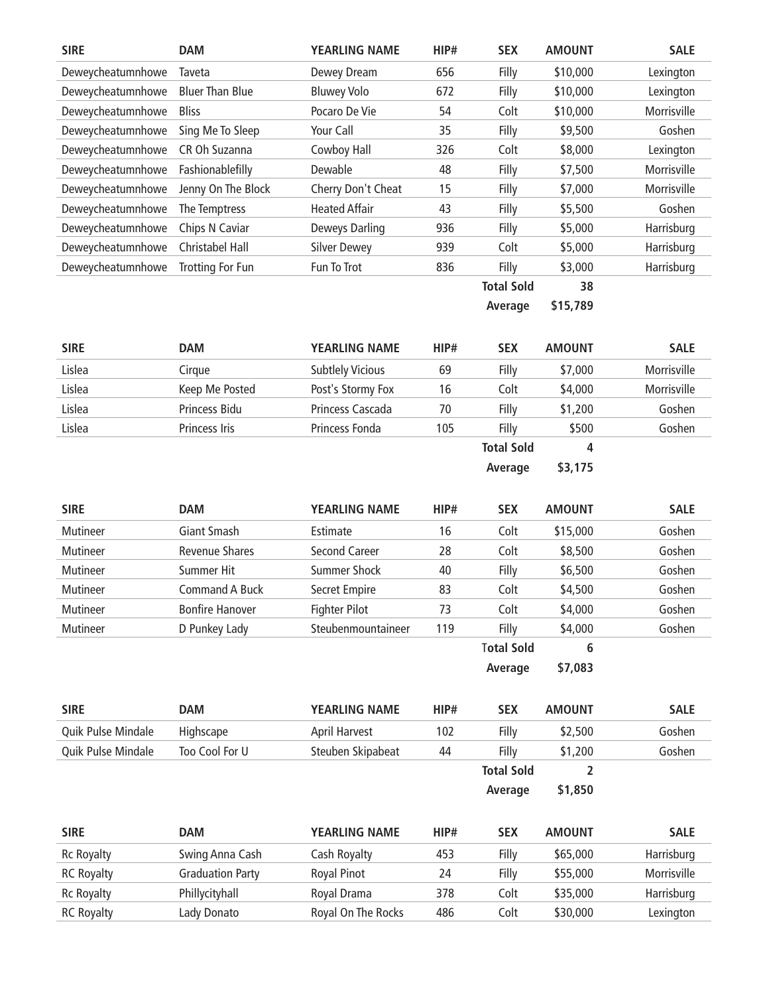| <b>SIRE</b>       | <b>DAM</b>             | <b>YEARLING NAME</b> | HIP# | <b>SEX</b>        | <b>AMOUNT</b> | <b>SALE</b> |
|-------------------|------------------------|----------------------|------|-------------------|---------------|-------------|
| Deweycheatumnhowe | Taveta                 | Dewey Dream          | 656  | Filly             | \$10,000      | Lexington   |
| Deweycheatumnhowe | <b>Bluer Than Blue</b> | <b>Bluwey Volo</b>   | 672  | Filly             | \$10,000      | Lexington   |
| Deweycheatumnhowe | <b>Bliss</b>           | Pocaro De Vie        | 54   | Colt              | \$10,000      | Morrisville |
| Deweycheatumnhowe | Sing Me To Sleep       | Your Call            | 35   | Filly             | \$9,500       | Goshen      |
| Deweycheatumnhowe | CR Oh Suzanna          | Cowboy Hall          | 326  | Colt              | \$8,000       | Lexington   |
| Deweycheatumnhowe | Fashionablefilly       | Dewable              | 48   | Filly             | \$7,500       | Morrisville |
| Deweycheatumnhowe | Jenny On The Block     | Cherry Don't Cheat   | 15   | Filly             | \$7,000       | Morrisville |
| Deweycheatumnhowe | The Temptress          | <b>Heated Affair</b> | 43   | Filly             | \$5,500       | Goshen      |
| Deweycheatumnhowe | Chips N Caviar         | Deweys Darling       | 936  | Filly             | \$5,000       | Harrisburg  |
| Deweycheatumnhowe | Christabel Hall        | <b>Silver Dewey</b>  | 939  | Colt              | \$5,000       | Harrisburg  |
| Deweycheatumnhowe | Trotting For Fun       | Fun To Trot          | 836  | Filly             | \$3,000       | Harrisburg  |
|                   |                        |                      |      | <b>Total Sold</b> | 38            |             |
|                   |                        |                      |      | Average           | \$15,789      |             |

| <b>SIRE</b> | <b>DAM</b>     | <b>YEARLING NAME</b>    | HIP# | <b>SEX</b>        | <b>AMOUNT</b>                                                                   | <b>SALE</b> |
|-------------|----------------|-------------------------|------|-------------------|---------------------------------------------------------------------------------|-------------|
| Lislea      | Cirque         | <b>Subtlely Vicious</b> | 69   | Filly             | \$7,000                                                                         | Morrisville |
| Lislea      | Keep Me Posted | Post's Stormy Fox       | 16   | Colt              | \$4,000                                                                         | Morrisville |
| Lislea      | Princess Bidu  | Princess Cascada        | 70   | Filly             | \$1,200                                                                         | Goshen      |
| Lislea      | Princess Iris  | Princess Fonda          | 105  | Filly             | \$500                                                                           | Goshen      |
|             |                |                         |      | <b>Total Sold</b> | 4                                                                               |             |
|             |                |                         |      |                   | the contract of the contract of the contract of the contract of the contract of |             |

**Average \$3,175**

| <b>SIRE</b> | <b>DAM</b>             | <b>YEARLING NAME</b> | HIP# | <b>SEX</b>        | <b>AMOUNT</b> | <b>SALE</b> |
|-------------|------------------------|----------------------|------|-------------------|---------------|-------------|
| Mutineer    | Giant Smash            | Estimate             | 16   | Colt              | \$15,000      | Goshen      |
| Mutineer    | <b>Revenue Shares</b>  | Second Career        | 28   | Colt              | \$8,500       | Goshen      |
| Mutineer    | Summer Hit             | Summer Shock         | 40   | Filly             | \$6,500       | Goshen      |
| Mutineer    | <b>Command A Buck</b>  | Secret Empire        | 83   | Colt              | \$4,500       | Goshen      |
| Mutineer    | <b>Bonfire Hanover</b> | <b>Fighter Pilot</b> | 73   | Colt              | \$4,000       | Goshen      |
| Mutineer    | D Punkey Lady          | Steubenmountaineer   | 119  | Filly             | \$4,000       | Goshen      |
|             |                        |                      |      | <b>Total Sold</b> | 6             |             |
|             |                        |                      |      | Average           | \$7,083       |             |

| <b>SIRE</b>        | <b>DAM</b>     | <b>YEARLING NAME</b> | HIP# | <b>SEX</b>        | <b>AMOUNT</b> | <b>SALE</b> |
|--------------------|----------------|----------------------|------|-------------------|---------------|-------------|
| Quik Pulse Mindale | Highscape      | April Harvest        | 102  | Fillv             | \$2,500       | Goshen      |
| Quik Pulse Mindale | Too Cool For U | Steuben Skipabeat    | 44   | Fillv             | \$1,200       | Goshen      |
|                    |                |                      |      | <b>Total Sold</b> |               |             |
|                    |                |                      |      | Average           | \$1,850       |             |

| <b>SIRE</b>       | <b>DAM</b>              | <b>YEARLING NAME</b> | HIP# | <b>SEX</b> | <b>AMOUNT</b> | <b>SALE</b> |
|-------------------|-------------------------|----------------------|------|------------|---------------|-------------|
| <b>Rc Royalty</b> | Swing Anna Cash         | Cash Royalty         | 453  | Filly      | \$65,000      | Harrisburg  |
| <b>RC Royalty</b> | <b>Graduation Party</b> | <b>Royal Pinot</b>   | 24   | Filly      | \$55,000      | Morrisville |
| <b>Rc Royalty</b> | Phillycityhall          | Royal Drama          | 378  | Colt       | \$35,000      | Harrisburg  |
| <b>RC Royalty</b> | Lady Donato             | Royal On The Rocks   | 486  | Colt       | \$30,000      | Lexington   |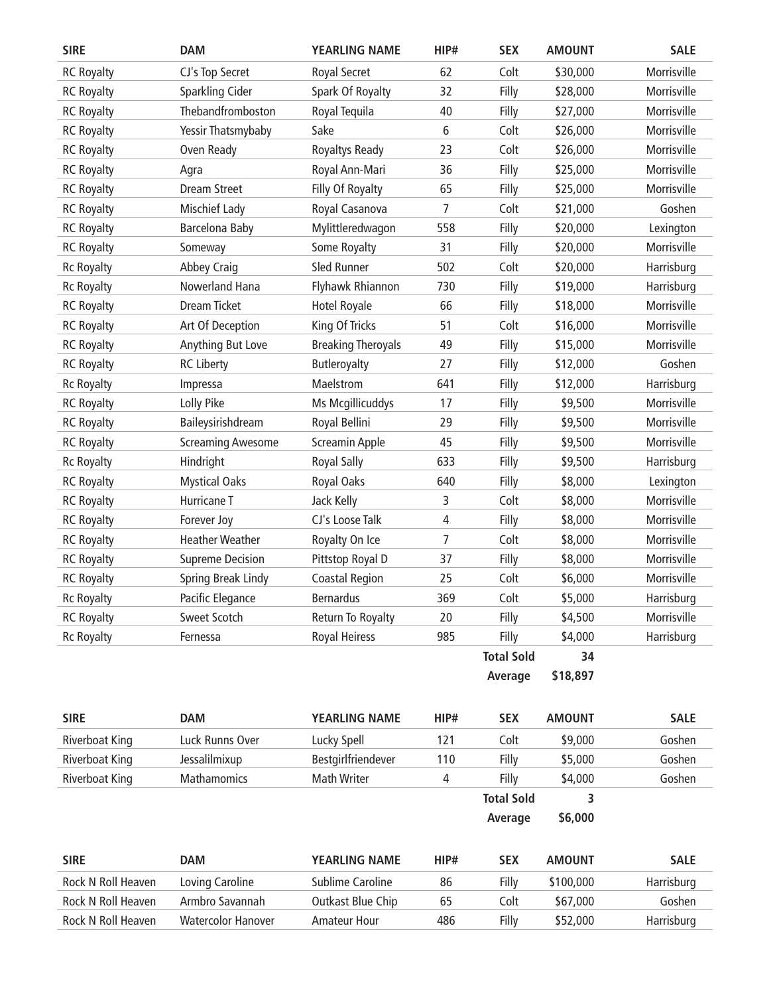| <b>SIRE</b>           | <b>DAM</b>               | <b>YEARLING NAME</b>      | HIP#           | <b>SEX</b>        | <b>AMOUNT</b> | <b>SALE</b> |
|-----------------------|--------------------------|---------------------------|----------------|-------------------|---------------|-------------|
| <b>RC Royalty</b>     | CJ's Top Secret          | Royal Secret              | 62             | Colt              | \$30,000      | Morrisville |
| <b>RC Royalty</b>     | Sparkling Cider          | Spark Of Royalty          | 32             | Filly             | \$28,000      | Morrisville |
| <b>RC Royalty</b>     | Thebandfromboston        | Royal Tequila             | 40             | Filly             | \$27,000      | Morrisville |
| <b>RC Royalty</b>     | Yessir Thatsmybaby       | Sake                      | 6              | Colt              | \$26,000      | Morrisville |
| <b>RC Royalty</b>     | Oven Ready               | Royaltys Ready            | 23             | Colt              | \$26,000      | Morrisville |
| <b>RC Royalty</b>     | Agra                     | Royal Ann-Mari            | 36             | Filly             | \$25,000      | Morrisville |
| <b>RC Royalty</b>     | <b>Dream Street</b>      | Filly Of Royalty          | 65             | Filly             | \$25,000      | Morrisville |
| <b>RC Royalty</b>     | <b>Mischief Lady</b>     | Royal Casanova            | $\overline{7}$ | Colt              | \$21,000      | Goshen      |
| <b>RC Royalty</b>     | Barcelona Baby           | Mylittleredwagon          | 558            | Filly             | \$20,000      | Lexington   |
| <b>RC Royalty</b>     | Someway                  | Some Royalty              | 31             | Filly             | \$20,000      | Morrisville |
| <b>Rc Royalty</b>     | <b>Abbey Craig</b>       | Sled Runner               | 502            | Colt              | \$20,000      | Harrisburg  |
| <b>Rc Royalty</b>     | Nowerland Hana           | Flyhawk Rhiannon          | 730            | Filly             | \$19,000      | Harrisburg  |
| <b>RC Royalty</b>     | <b>Dream Ticket</b>      | <b>Hotel Royale</b>       | 66             | Filly             | \$18,000      | Morrisville |
| <b>RC Royalty</b>     | Art Of Deception         | King Of Tricks            | 51             | Colt              | \$16,000      | Morrisville |
| <b>RC Royalty</b>     | Anything But Love        | <b>Breaking Theroyals</b> | 49             | Filly             | \$15,000      | Morrisville |
| <b>RC Royalty</b>     | <b>RC Liberty</b>        | Butleroyalty              | 27             | Filly             | \$12,000      | Goshen      |
| <b>Rc Royalty</b>     | Impressa                 | Maelstrom                 | 641            | Filly             | \$12,000      | Harrisburg  |
| <b>RC Royalty</b>     | Lolly Pike               | Ms Mcgillicuddys          | 17             | Filly             | \$9,500       | Morrisville |
| <b>RC Royalty</b>     | Baileysirishdream        | Royal Bellini             | 29             | Filly             | \$9,500       | Morrisville |
| <b>RC Royalty</b>     | <b>Screaming Awesome</b> | Screamin Apple            | 45             | Filly             | \$9,500       | Morrisville |
| <b>Rc Royalty</b>     | Hindright                | <b>Royal Sally</b>        | 633            | Filly             | \$9,500       | Harrisburg  |
| <b>RC Royalty</b>     | <b>Mystical Oaks</b>     | Royal Oaks                | 640            | Filly             | \$8,000       | Lexington   |
| <b>RC Royalty</b>     | Hurricane T              | Jack Kelly                | 3              | Colt              | \$8,000       | Morrisville |
| <b>RC Royalty</b>     | Forever Joy              | CJ's Loose Talk           | 4              | Filly             | \$8,000       | Morrisville |
| <b>RC Royalty</b>     | <b>Heather Weather</b>   | Royalty On Ice            | $\overline{7}$ | Colt              | \$8,000       | Morrisville |
| <b>RC Royalty</b>     | <b>Supreme Decision</b>  | Pittstop Royal D          | 37             | Filly             | \$8,000       | Morrisville |
| <b>RC Royalty</b>     | Spring Break Lindy       | Coastal Region            | 25             | Colt              | \$6,000       | Morrisville |
| <b>Rc Royalty</b>     | Pacific Elegance         | <b>Bernardus</b>          | 369            | Colt              | \$5,000       | Harrisburg  |
| <b>RC Royalty</b>     | <b>Sweet Scotch</b>      | Return To Royalty         | 20             | Filly             | \$4,500       | Morrisville |
| <b>Rc Royalty</b>     | Fernessa                 | Royal Heiress             | 985            | Filly             | \$4,000       | Harrisburg  |
|                       |                          |                           |                | <b>Total Sold</b> | 34            |             |
|                       |                          |                           |                | Average           | \$18,897      |             |
| <b>SIRE</b>           | <b>DAM</b>               | YEARLING NAME             | HIP#           | <b>SEX</b>        | <b>AMOUNT</b> | <b>SALE</b> |
| <b>Riverboat King</b> | Luck Runns Over          | Lucky Spell               | 121            | Colt              | \$9,000       | Goshen      |
| <b>Riverboat King</b> | Jessalilmixup            | Bestgirlfriendever        | 110            | Filly             | \$5,000       | Goshen      |
| <b>Riverboat King</b> | Mathamomics              | Math Writer               | 4              | Filly             | \$4,000       | Goshen      |
|                       |                          |                           |                | <b>Total Sold</b> | 3             |             |
|                       |                          |                           |                | Average           | \$6,000       |             |

**SIRE DAM YEARLING NAME HIP# SEX AMOUNT SALE** Rock N Roll Heaven Loving Caroline Sublime Caroline 86 Filly \$100,000 Harrisburg Rock N Roll Heaven Armbro Savannah Outkast Blue Chip 65 Colt \$67,000 Goshen Rock N Roll Heaven Watercolor Hanover Amateur Hour 486 Filly \$52,000 Harrisburg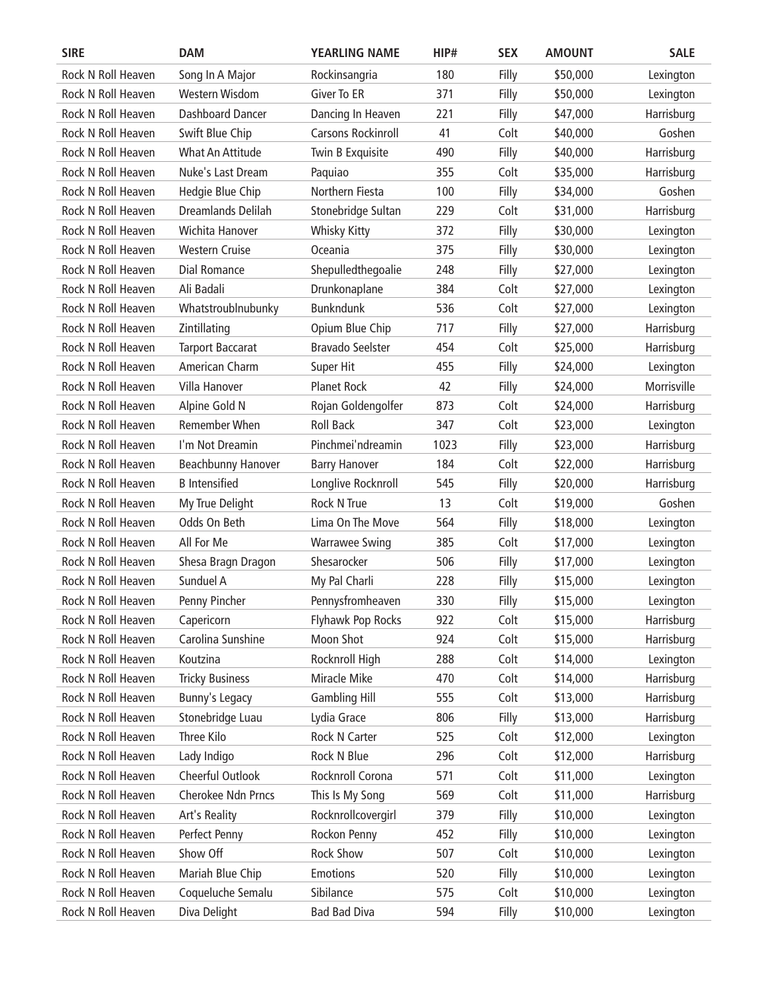| <b>SIRE</b>        | <b>DAM</b>              | <b>YEARLING NAME</b>      | HIP# | <b>SEX</b> | <b>AMOUNT</b> | <b>SALE</b> |
|--------------------|-------------------------|---------------------------|------|------------|---------------|-------------|
| Rock N Roll Heaven | Song In A Major         | Rockinsangria             | 180  | Filly      | \$50,000      | Lexington   |
| Rock N Roll Heaven | Western Wisdom          | <b>Giver To ER</b>        | 371  | Filly      | \$50,000      | Lexington   |
| Rock N Roll Heaven | Dashboard Dancer        | Dancing In Heaven         | 221  | Filly      | \$47,000      | Harrisburg  |
| Rock N Roll Heaven | Swift Blue Chip         | <b>Carsons Rockinroll</b> | 41   | Colt       | \$40,000      | Goshen      |
| Rock N Roll Heaven | What An Attitude        | Twin B Exquisite          | 490  | Filly      | \$40,000      | Harrisburg  |
| Rock N Roll Heaven | Nuke's Last Dream       | Paquiao                   | 355  | Colt       | \$35,000      | Harrisburg  |
| Rock N Roll Heaven | Hedgie Blue Chip        | Northern Fiesta           | 100  | Filly      | \$34,000      | Goshen      |
| Rock N Roll Heaven | Dreamlands Delilah      | Stonebridge Sultan        | 229  | Colt       | \$31,000      | Harrisburg  |
| Rock N Roll Heaven | Wichita Hanover         | <b>Whisky Kitty</b>       | 372  | Filly      | \$30,000      | Lexington   |
| Rock N Roll Heaven | <b>Western Cruise</b>   | Oceania                   | 375  | Filly      | \$30,000      | Lexington   |
| Rock N Roll Heaven | <b>Dial Romance</b>     | Shepulledthegoalie        | 248  | Filly      | \$27,000      | Lexington   |
| Rock N Roll Heaven | Ali Badali              | Drunkonaplane             | 384  | Colt       | \$27,000      | Lexington   |
| Rock N Roll Heaven | Whatstroublnubunky      | <b>Bunkndunk</b>          | 536  | Colt       | \$27,000      | Lexington   |
| Rock N Roll Heaven | Zintillating            | Opium Blue Chip           | 717  | Filly      | \$27,000      | Harrisburg  |
| Rock N Roll Heaven | <b>Tarport Baccarat</b> | <b>Bravado Seelster</b>   | 454  | Colt       | \$25,000      | Harrisburg  |
| Rock N Roll Heaven | American Charm          | Super Hit                 | 455  | Filly      | \$24,000      | Lexington   |
| Rock N Roll Heaven | Villa Hanover           | <b>Planet Rock</b>        | 42   | Filly      | \$24,000      | Morrisville |
| Rock N Roll Heaven | Alpine Gold N           | Rojan Goldengolfer        | 873  | Colt       | \$24,000      | Harrisburg  |
| Rock N Roll Heaven | <b>Remember When</b>    | <b>Roll Back</b>          | 347  | Colt       | \$23,000      | Lexington   |
| Rock N Roll Heaven | I'm Not Dreamin         | Pinchmei'ndreamin         | 1023 | Filly      | \$23,000      | Harrisburg  |
| Rock N Roll Heaven | Beachbunny Hanover      | <b>Barry Hanover</b>      | 184  | Colt       | \$22,000      | Harrisburg  |
| Rock N Roll Heaven | <b>B</b> Intensified    | Longlive Rocknroll        | 545  | Filly      | \$20,000      | Harrisburg  |
| Rock N Roll Heaven | My True Delight         | Rock N True               | 13   | Colt       | \$19,000      | Goshen      |
| Rock N Roll Heaven | Odds On Beth            | Lima On The Move          | 564  | Filly      | \$18,000      | Lexington   |
| Rock N Roll Heaven | All For Me              | <b>Warrawee Swing</b>     | 385  | Colt       | \$17,000      | Lexington   |
| Rock N Roll Heaven | Shesa Bragn Dragon      | Shesarocker               | 506  | Filly      | \$17,000      | Lexington   |
| Rock N Roll Heaven | Sunduel A               | My Pal Charli             | 228  | Filly      | \$15,000      | Lexington   |
| Rock N Roll Heaven | Penny Pincher           | Pennysfromheaven          | 330  | Filly      | \$15,000      | Lexington   |
| Rock N Roll Heaven | Capericorn              | Flyhawk Pop Rocks         | 922  | Colt       | \$15,000      | Harrisburg  |
| Rock N Roll Heaven | Carolina Sunshine       | Moon Shot                 | 924  | Colt       | \$15,000      | Harrisburg  |
| Rock N Roll Heaven | Koutzina                | Rocknroll High            | 288  | Colt       | \$14,000      | Lexington   |
| Rock N Roll Heaven | <b>Tricky Business</b>  | Miracle Mike              | 470  | Colt       | \$14,000      | Harrisburg  |
| Rock N Roll Heaven | Bunny's Legacy          | <b>Gambling Hill</b>      | 555  | Colt       | \$13,000      | Harrisburg  |
| Rock N Roll Heaven | Stonebridge Luau        | Lydia Grace               | 806  | Filly      | \$13,000      | Harrisburg  |
| Rock N Roll Heaven | Three Kilo              | Rock N Carter             | 525  | Colt       | \$12,000      | Lexington   |
| Rock N Roll Heaven | Lady Indigo             | Rock N Blue               | 296  | Colt       | \$12,000      | Harrisburg  |
| Rock N Roll Heaven | Cheerful Outlook        | Rocknroll Corona          | 571  | Colt       | \$11,000      | Lexington   |
| Rock N Roll Heaven | Cherokee Ndn Prncs      | This Is My Song           | 569  | Colt       | \$11,000      | Harrisburg  |
| Rock N Roll Heaven | Art's Reality           | Rocknrollcovergirl        | 379  | Filly      | \$10,000      | Lexington   |
| Rock N Roll Heaven | Perfect Penny           | Rockon Penny              | 452  | Filly      | \$10,000      | Lexington   |
| Rock N Roll Heaven | Show Off                | Rock Show                 | 507  | Colt       | \$10,000      | Lexington   |
| Rock N Roll Heaven | Mariah Blue Chip        | <b>Emotions</b>           | 520  | Filly      | \$10,000      | Lexington   |
| Rock N Roll Heaven | Coqueluche Semalu       | Sibilance                 | 575  | Colt       | \$10,000      | Lexington   |
| Rock N Roll Heaven | Diva Delight            | <b>Bad Bad Diva</b>       | 594  | Filly      | \$10,000      | Lexington   |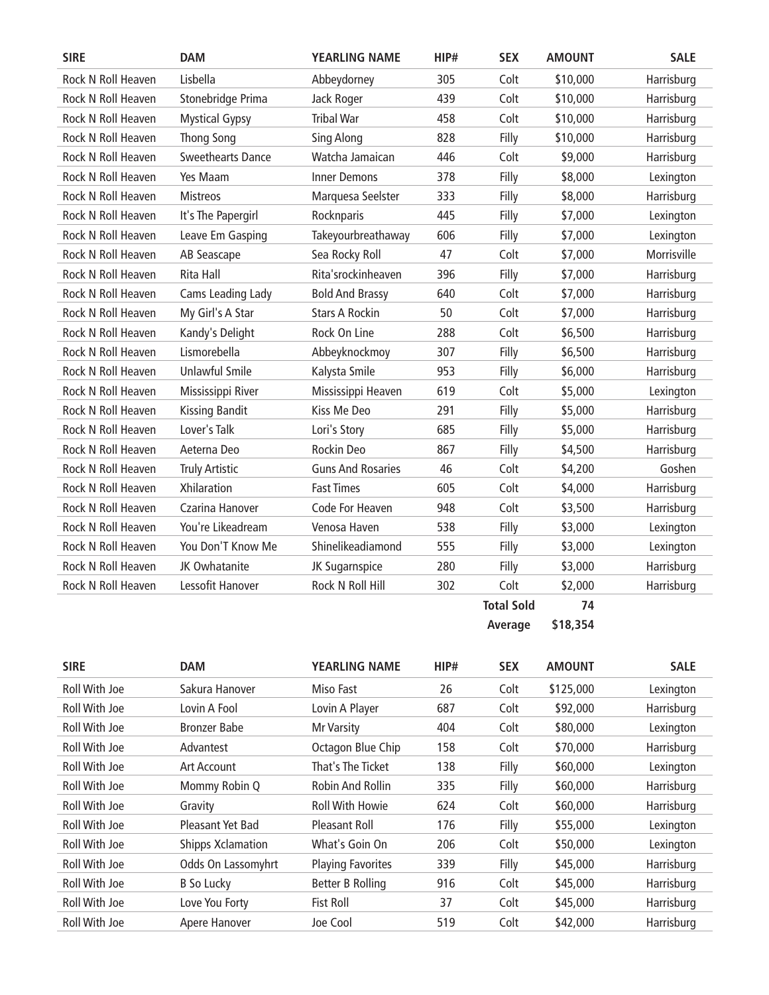| <b>SIRE</b>               | <b>DAM</b>               | <b>YEARLING NAME</b>     | HIP# | <b>SEX</b>        | <b>AMOUNT</b> | <b>SALE</b> |
|---------------------------|--------------------------|--------------------------|------|-------------------|---------------|-------------|
| <b>Rock N Roll Heaven</b> | Lisbella                 | Abbeydorney              | 305  | Colt              | \$10,000      | Harrisburg  |
| Rock N Roll Heaven        | Stonebridge Prima        | Jack Roger               | 439  | Colt              | \$10,000      | Harrisburg  |
| Rock N Roll Heaven        | <b>Mystical Gypsy</b>    | <b>Tribal War</b>        | 458  | Colt              | \$10,000      | Harrisburg  |
| Rock N Roll Heaven        | <b>Thong Song</b>        | Sing Along               | 828  | Filly             | \$10,000      | Harrisburg  |
| Rock N Roll Heaven        | <b>Sweethearts Dance</b> | Watcha Jamaican          | 446  | Colt              | \$9,000       | Harrisburg  |
| Rock N Roll Heaven        | Yes Maam                 | <b>Inner Demons</b>      | 378  | Filly             | \$8,000       | Lexington   |
| Rock N Roll Heaven        | <b>Mistreos</b>          | Marquesa Seelster        | 333  | Filly             | \$8,000       | Harrisburg  |
| Rock N Roll Heaven        | It's The Papergirl       | Rocknparis               | 445  | Filly             | \$7,000       | Lexington   |
| <b>Rock N Roll Heaven</b> | Leave Em Gasping         | Takeyourbreathaway       | 606  | Filly             | \$7,000       | Lexington   |
| Rock N Roll Heaven        | AB Seascape              | Sea Rocky Roll           | 47   | Colt              | \$7,000       | Morrisville |
| Rock N Roll Heaven        | Rita Hall                | Rita'srockinheaven       | 396  | Filly             | \$7,000       | Harrisburg  |
| Rock N Roll Heaven        | Cams Leading Lady        | <b>Bold And Brassy</b>   | 640  | Colt              | \$7,000       | Harrisburg  |
| Rock N Roll Heaven        | My Girl's A Star         | <b>Stars A Rockin</b>    | 50   | Colt              | \$7,000       | Harrisburg  |
| Rock N Roll Heaven        | Kandy's Delight          | Rock On Line             | 288  | Colt              | \$6,500       | Harrisburg  |
| Rock N Roll Heaven        | Lismorebella             | Abbeyknockmoy            | 307  | Filly             | \$6,500       | Harrisburg  |
| Rock N Roll Heaven        | <b>Unlawful Smile</b>    | Kalysta Smile            | 953  | Filly             | \$6,000       | Harrisburg  |
| Rock N Roll Heaven        | Mississippi River        | Mississippi Heaven       | 619  | Colt              | \$5,000       | Lexington   |
| Rock N Roll Heaven        | <b>Kissing Bandit</b>    | Kiss Me Deo              | 291  | Filly             | \$5,000       | Harrisburg  |
| Rock N Roll Heaven        | Lover's Talk             | Lori's Story             | 685  | Filly             | \$5,000       | Harrisburg  |
| Rock N Roll Heaven        | Aeterna Deo              | Rockin Deo               | 867  | Filly             | \$4,500       | Harrisburg  |
| Rock N Roll Heaven        | <b>Truly Artistic</b>    | <b>Guns And Rosaries</b> | 46   | Colt              | \$4,200       | Goshen      |
| Rock N Roll Heaven        | <b>Xhilaration</b>       | <b>Fast Times</b>        | 605  | Colt              | \$4,000       | Harrisburg  |
| Rock N Roll Heaven        | Czarina Hanover          | Code For Heaven          | 948  | Colt              | \$3,500       | Harrisburg  |
| Rock N Roll Heaven        | You're Likeadream        | Venosa Haven             | 538  | Filly             | \$3,000       | Lexington   |
| Rock N Roll Heaven        | You Don'T Know Me        | Shinelikeadiamond        | 555  | Filly             | \$3,000       | Lexington   |
| <b>Rock N Roll Heaven</b> | JK Owhatanite            | JK Sugarnspice           | 280  | Filly             | \$3,000       | Harrisburg  |
| Rock N Roll Heaven        | Lessofit Hanover         | Rock N Roll Hill         | 302  | Colt              | \$2,000       | Harrisburg  |
|                           |                          |                          |      | <b>Total Sold</b> | 74            |             |

**Average \$18,354**

| <b>SIRE</b>   | <b>DAM</b>               | <b>YEARLING NAME</b>     | HIP# | <b>SEX</b> | <b>AMOUNT</b> | <b>SALE</b> |
|---------------|--------------------------|--------------------------|------|------------|---------------|-------------|
| Roll With Joe | Sakura Hanover           | Miso Fast                | 26   | Colt       | \$125,000     | Lexington   |
| Roll With Joe | Lovin A Fool             | Lovin A Player           | 687  | Colt       | \$92,000      | Harrisburg  |
| Roll With Joe | <b>Bronzer Babe</b>      | Mr Varsity               | 404  | Colt       | \$80,000      | Lexington   |
| Roll With Joe | Advantest                | Octagon Blue Chip        | 158  | Colt       | \$70,000      | Harrisburg  |
| Roll With Joe | Art Account              | That's The Ticket        | 138  | Filly      | \$60,000      | Lexington   |
| Roll With Joe | Mommy Robin Q            | Robin And Rollin         | 335  | Filly      | \$60,000      | Harrisburg  |
| Roll With Joe | Gravity                  | <b>Roll With Howie</b>   | 624  | Colt       | \$60,000      | Harrisburg  |
| Roll With Joe | Pleasant Yet Bad         | Pleasant Roll            | 176  | Filly      | \$55,000      | Lexington   |
| Roll With Joe | <b>Shipps Xclamation</b> | What's Goin On           | 206  | Colt       | \$50,000      | Lexington   |
| Roll With Joe | Odds On Lassomyhrt       | <b>Playing Favorites</b> | 339  | Filly      | \$45,000      | Harrisburg  |
| Roll With Joe | B So Lucky               | Better B Rolling         | 916  | Colt       | \$45,000      | Harrisburg  |
| Roll With Joe | Love You Forty           | <b>Fist Roll</b>         | 37   | Colt       | \$45,000      | Harrisburg  |
| Roll With Joe | Apere Hanover            | Joe Cool                 | 519  | Colt       | \$42,000      | Harrisburg  |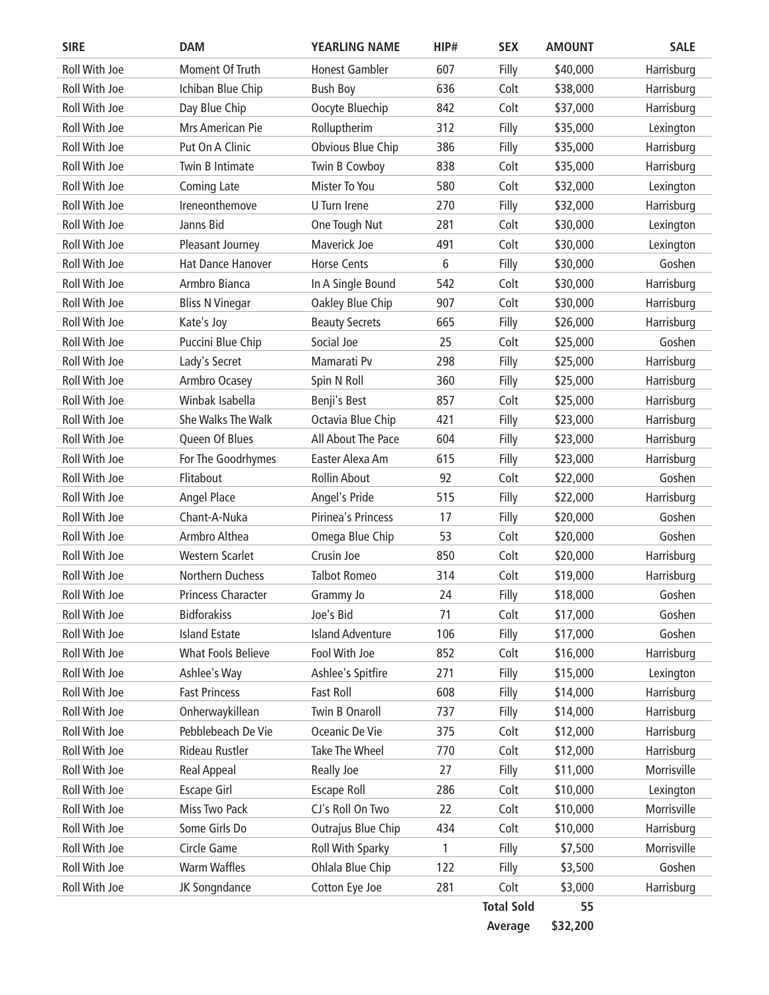| <b>SIRE</b>          | <b>DAM</b>                | <b>YEARLING NAME</b>    | HIP# | <b>SEX</b>        | <b>AMOUNT</b> | <b>SALE</b> |
|----------------------|---------------------------|-------------------------|------|-------------------|---------------|-------------|
| Roll With Joe        | Moment Of Truth           | <b>Honest Gambler</b>   | 607  | Filly             | \$40,000      | Harrisburg  |
| Roll With Joe        | Ichiban Blue Chip         | <b>Bush Boy</b>         | 636  | Colt              | \$38,000      | Harrisburg  |
| Roll With Joe        | Day Blue Chip             | Oocyte Bluechip         | 842  | Colt              | \$37,000      | Harrisburg  |
| Roll With Joe        | Mrs American Pie          | Rolluptherim            | 312  | Filly             | \$35,000      | Lexington   |
| Roll With Joe        | Put On A Clinic           | Obvious Blue Chip       | 386  | Filly             | \$35,000      | Harrisburg  |
| <b>Roll With Joe</b> | Twin B Intimate           | Twin B Cowboy           | 838  | Colt              | \$35,000      | Harrisburg  |
| Roll With Joe        | Coming Late               | Mister To You           | 580  | Colt              | \$32,000      | Lexington   |
| Roll With Joe        | Ireneonthemove            | U Turn Irene            | 270  | Filly             | \$32,000      | Harrisburg  |
| Roll With Joe        | Janns Bid                 | One Tough Nut           | 281  | Colt              | \$30,000      | Lexington   |
| Roll With Joe        | Pleasant Journey          | Maverick Joe            | 491  | Colt              | \$30,000      | Lexington   |
| Roll With Joe        | <b>Hat Dance Hanover</b>  | <b>Horse Cents</b>      | 6    | Filly             | \$30,000      | Goshen      |
| Roll With Joe        | Armbro Bianca             | In A Single Bound       | 542  | Colt              | \$30,000      | Harrisburg  |
| <b>Roll With Joe</b> | <b>Bliss N Vinegar</b>    | Oakley Blue Chip        | 907  | Colt              | \$30,000      | Harrisburg  |
| Roll With Joe        | Kate's Joy                | <b>Beauty Secrets</b>   | 665  | Filly             | \$26,000      | Harrisburg  |
| Roll With Joe        | Puccini Blue Chip         | Social Joe              | 25   | Colt              | \$25,000      | Goshen      |
| Roll With Joe        | Lady's Secret             | Mamarati Pv             | 298  | Filly             | \$25,000      | Harrisburg  |
| Roll With Joe        | Armbro Ocasey             | Spin N Roll             | 360  | Filly             | \$25,000      | Harrisburg  |
| Roll With Joe        | Winbak Isabella           | Benji's Best            | 857  | Colt              | \$25,000      | Harrisburg  |
| Roll With Joe        | She Walks The Walk        | Octavia Blue Chip       | 421  | Filly             | \$23,000      | Harrisburg  |
| Roll With Joe        | Queen Of Blues            | All About The Pace      | 604  | Filly             | \$23,000      | Harrisburg  |
| Roll With Joe        | For The Goodrhymes        | Easter Alexa Am         | 615  | Filly             | \$23,000      | Harrisburg  |
| Roll With Joe        | Flitabout                 | <b>Rollin About</b>     | 92   | Colt              | \$22,000      | Goshen      |
| Roll With Joe        | Angel Place               | Angel's Pride           | 515  | Filly             | \$22,000      | Harrisburg  |
| Roll With Joe        | Chant-A-Nuka              | Pirinea's Princess      | 17   | Filly             | \$20,000      | Goshen      |
| Roll With Joe        | Armbro Althea             | Omega Blue Chip         | 53   | Colt              | \$20,000      | Goshen      |
| Roll With Joe        | <b>Western Scarlet</b>    | Crusin Joe              | 850  | Colt              | \$20,000      | Harrisburg  |
| Roll With Joe        | <b>Northern Duchess</b>   | <b>Talbot Romeo</b>     | 314  | Colt              | \$19,000      | Harrisburg  |
| Roll With Joe        | <b>Princess Character</b> | Grammy Jo               | 24   | Filly             | \$18,000      | Goshen      |
| Roll With Joe        | <b>Bidforakiss</b>        | Joe's Bid               | 71   | Colt              | \$17,000      | Goshen      |
| Roll With Joe        | <b>Island Estate</b>      | <b>Island Adventure</b> | 106  | Filly             | \$17,000      | Goshen      |
| Roll With Joe        | <b>What Fools Believe</b> | Fool With Joe           | 852  | Colt              | \$16,000      | Harrisburg  |
| Roll With Joe        | Ashlee's Way              | Ashlee's Spitfire       | 271  | Filly             | \$15,000      | Lexington   |
| Roll With Joe        | <b>Fast Princess</b>      | Fast Roll               | 608  | Filly             | \$14,000      | Harrisburg  |
| Roll With Joe        | Onherwaykillean           | Twin B Onaroll          | 737  | Filly             | \$14,000      | Harrisburg  |
| Roll With Joe        | Pebblebeach De Vie        | Oceanic De Vie          | 375  | Colt              | \$12,000      | Harrisburg  |
| Roll With Joe        | Rideau Rustler            | Take The Wheel          | 770  | Colt              | \$12,000      | Harrisburg  |
| Roll With Joe        | <b>Real Appeal</b>        | Really Joe              | 27   | Filly             | \$11,000      | Morrisville |
| Roll With Joe        | <b>Escape Girl</b>        | <b>Escape Roll</b>      | 286  | Colt              | \$10,000      | Lexington   |
| Roll With Joe        | Miss Two Pack             | CJ's Roll On Two        | 22   | Colt              | \$10,000      | Morrisville |
| Roll With Joe        | Some Girls Do             | Outrajus Blue Chip      | 434  | Colt              | \$10,000      | Harrisburg  |
| Roll With Joe        | Circle Game               | Roll With Sparky        | 1    | Filly             | \$7,500       | Morrisville |
| Roll With Joe        | <b>Warm Waffles</b>       | Ohlala Blue Chip        | 122  | Filly             | \$3,500       | Goshen      |
| Roll With Joe        | JK Songndance             | Cotton Eye Joe          | 281  | Colt              | \$3,000       | Harrisburg  |
|                      |                           |                         |      | <b>Total Sold</b> | 55            |             |

**Average \$32,200**